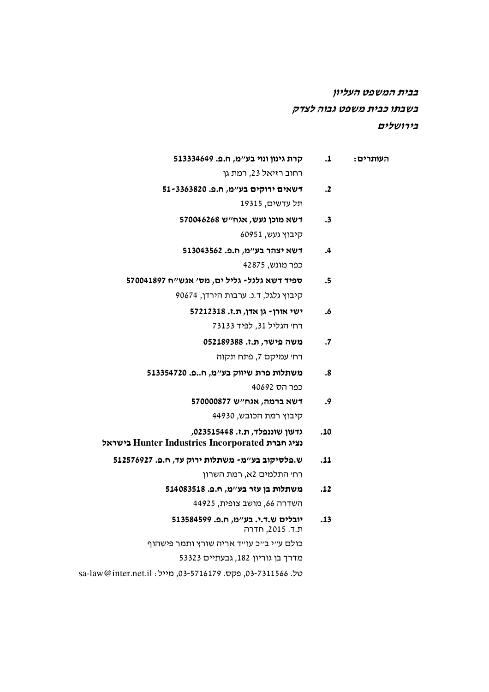# בבית המשפט העליון בשבתו כבית משפט גבוה לצדק בירושלים

| קרת גינון ונוי בע״מ, ח.פ. 513334649                                               | $\cdot$ <b>1</b>     | העותרים: |
|-----------------------------------------------------------------------------------|----------------------|----------|
| רחוב רזיאל 23, רמת גן                                                             |                      |          |
| דשאים ירוקים בע״מ, ח.פ. 51-3363820                                                | $\cdot$ <sub>2</sub> |          |
| תל עדשים, 19315                                                                   |                      |          |
| דשא מוכן געש, אגח״ש 570046268                                                     | $\cdot$ 3            |          |
| קיבוץ געש, 60951                                                                  |                      |          |
| דשא יצהר בע״מ, ח.פ. 513043562                                                     | .4                   |          |
| כפר מונש, 42875                                                                   |                      |          |
| ספיד דשא גלגל- גליל ים, מס׳ אגש׳׳ח 570041897                                      | .5                   |          |
| קיבוץ גלגל, ד.נ. ערבות הירדן, 90674                                               |                      |          |
| ישי אורן- גן אדן, ת.ז. 57212318                                                   | .6                   |          |
| רחי הגליל 31, לפיד 73133                                                          |                      |          |
| משה פישר, ת.ז. 052189388                                                          | $\cdot 7$            |          |
| רחי עמיקם 7, פתח תקוה                                                             |                      |          |
| משתלות פרת שיווק בע"מ, חפ. 513354720                                              | .8                   |          |
| כפר הס 40692                                                                      |                      |          |
| דשא ברמה, אגח"ש 570000877                                                         | .9                   |          |
| קיבוץ רמת הכובש, 44930                                                            |                      |          |
| גדעון שוננפלד, ת.ז. 023515448,<br>נציג חברת Hunter Industries Incorporated בישראל | .10                  |          |
| ש.פלסיקוב בע״מ- משתלות ירוק עד, ח.פ. 512576927                                    | .11                  |          |
| רחי התלמים 2א, רמת השרון                                                          |                      |          |
| משתלות בן עזר בע"מ, ח.פ. 514083518                                                | .12                  |          |
| השדרה 66, מושב צופית, 44925                                                       |                      |          |
| יובלים ש.ד.י. בע״מ, ח.פ. 513584599<br>ת.ד. 2015, חדרה                             | .13                  |          |
| כולם עייי בייכ עוייד אריה שורץ ותמר פישהוף                                        |                      |          |
| מדרך בן גוריון 182, גבעתיים 53323                                                 |                      |          |

sa-law@inter.net.il : סל. 03-5716179, מייל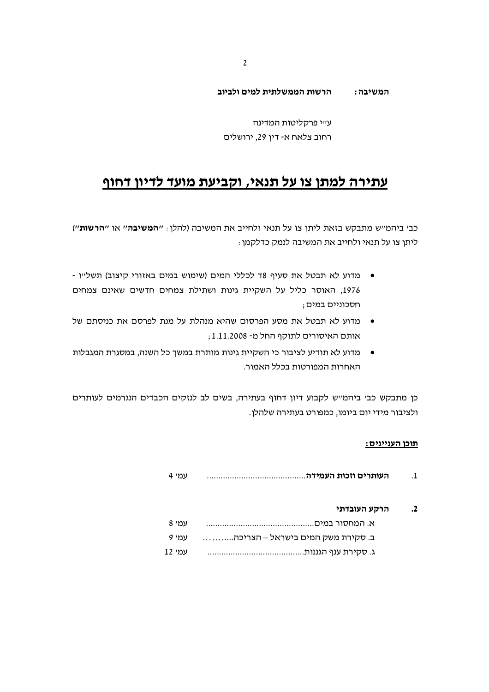#### הרשות הממשלתית למים ולביוב המשיבה:

עייי פרקליטות המדינה רחוב צלאח א- דין 29, ירושלים

# עתירה למתן צו על תנאי, וקביעת מועד לדיון דחוף

כבי ביהמייש מתבקש בזאת ליתן צו על תנאי ולחייב את המשיבה (להלן : *יי***המשיבה׳**׳ או י**׳הרשות׳׳**) ליתן צו על תנאי ולחייב את המשיבה לנמק כדלקמן :

- מדוע לא תבטל את סעיף 18 לכללי המים (שימוש במים באזורי קיצוב) תשל״ו -1976, האוסר כליל על השקיית גינות ושתילת צמחים חדשים שאינם צמחים חסכוניים במים :
- מדוע לא תבטל את מסע הפרסום שהיא מנהלת על מנת לפרסם את כניסתם של אותם האיסורים לתוקף החל מ- 1.11.2008;
- מדוע לא תודיע לציבור כי השקיית גינות מותרת במשך כל השנה, במסגרת המגבלות האחרות המפורטות בכלל האמור.

כן מתבקש כבי ביהמייש לקבוע דיון דחוף בעתירה, בשים לב לנזקים הכבדים הנגרמים לעותרים ולציבור מידי יום ביומו, כמפורט בעתירה שלהלן.

#### תוכו העניינים:

| עמי 4  |                                   | $\cdot$ 1 |
|--------|-----------------------------------|-----------|
|        | הרקע העובדתי                      | $\cdot$   |
| עמי 8  |                                   |           |
| עמי 9  | ב. סקירת משק המים בישראל – הצריכה |           |
| עמי 12 |                                   |           |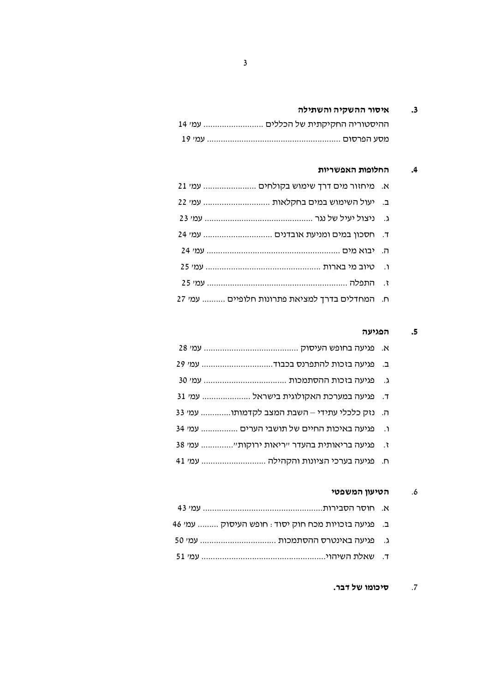# 3. איסור ההשקיה והשתילה

| ההיסטוריה החקיקתית של הכללים  עמי 14 |
|--------------------------------------|
|                                      |

# 4. החלופות האפשריות

| א. מיחזור מים דרך שימוש בקולחים  עמ׳ 21        |  |
|------------------------------------------------|--|
| ב. יעול השימוש במים בחקלאות  עמ׳ 22            |  |
|                                                |  |
| ד. חסכון במים ומניעת אובדנים  עמי 24           |  |
|                                                |  |
|                                                |  |
|                                                |  |
| ח. המחדלים בדרך למציאת פתרונות חלופיים  עמי 27 |  |

# 5. הפגיעה

| ב. פגיעה בזכות להתפרנס בכבוד עמ׳ 29           |               |
|-----------------------------------------------|---------------|
|                                               | $\Lambda$     |
| ד. פגיעה במערכת האקולוגית בישראל  עמ׳ 31      |               |
| ה. נזק כלכלי עתידי – השבת המצב לקדמותו עמי 33 |               |
| פגיעה באיכות החיים של תושבי הערים  עמ׳ 34     | $\cdot$ .     |
| פגיעה בריאותית בהעדר ״ריאות ירוקות״ עמ׳ 38    | $\mathcal{L}$ |
| ח. פגיעה בערכי הציונות והקהילה  עמי 41        |               |
|                                               |               |

# 6. הטיעון המשפטי

| ב. פגיעה בזכויות מכח חוק יסוד : חופש העיסוק  עמי 46 |  |
|-----------------------------------------------------|--|
| ג. _ פגיעה באינטרס ההסתמכות  עמי 50                 |  |
|                                                     |  |

## 7. סיכומו של דבר.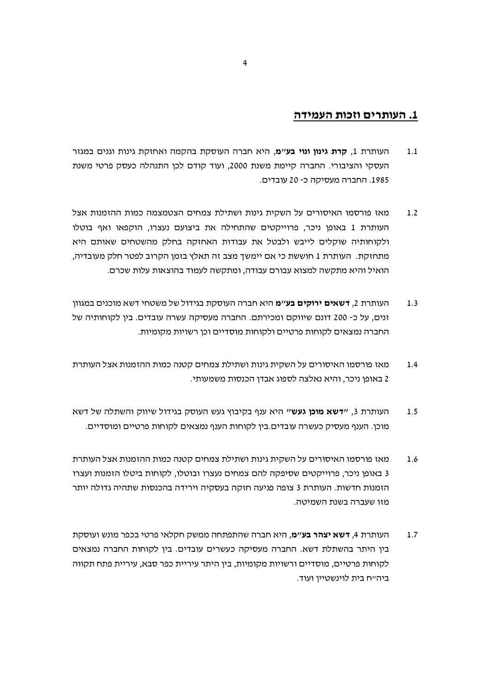# 1. העותרים וזכות העמידה

- העותרת 1. **קרת גינון ונוי בע"מ**, היא חברה העוסקת בהקמה ואחזקת גינות וגנים במגזר  $1.1$ העסקי והציבורי. החברה קיימת משנת 2000, ועוד קודם לכן התנהלה כעסק פרטי משנת 1985. החברה מעסיקה כ- 20 עובדים.
- מאז פורסמו האיסורים על השקית גינות ושתילת צמחים הצטמצמה כמות ההזמנות אצל  $1.2$ העותרת 1 באופן ניכר, פרוייקטים שהתחילה את ביצועם נעצרו, הוקפאו ואף בוטלו ולקוחותיה שוקלים לייבש ולבטל את עבודות האחזקה בחלק מהשטחים שאותם היא מתחזקת. העותרת 1 חוששת כי אם יימשך מצב זה תאלץ בזמן הקרוב לפטר חלק מעובדיה, הואיל והיא מתקשה למצוא עבורם עבודה, ומתקשה לעמוד בהוצאות עלות שכרם.
- העותרת 2, **דשאים ירוקים בע**״מ היא חברה העוסקת בגידול של משטחי דשא מוכנים במגוון  $1.3$ זנים, על כ- 200 דונם שיווקם ומכירתם. החברה מעסיקה עשרה עובדים. בין לקוחותיה של החברה נמצאים לקוחות פרטיים ולקוחות מוסדיים וכו רשויות מקומיות.
- מאז פורסמו האיסורים על השקית גינות ושתילת צמחים קטנה כמות ההזמנות אצל העותרת  $1.4$ 2 באופן ניכר, והיא נאלצה לספוג אבדן הכנסות משמעותי.
- העותרת 3, ״**דשא מוכן געש**״ היא ענף בקיבוץ געש העוסק בגידול שיווק והשתלה של דשא  $1.5$ מוכן. הענף מעסיק כעשרה עובדים.בין לקוחות הענף נמצאים לקוחות פרטיים ומוסדיים.
- מאז פורסמו האיסורים על השקית גינות ושתילת צמחים קטנה כמות ההזמנות אצל העותרת 1.6 3 באופן ניכר, פרוייקטים שסיפקה להם צמחים נעצרו ובוטלו, לקוחות ביטלו הזמנות ועצרו הזמנות חדשות. העותרת 3 צופה פגיעה חזקה בעסקיה וירידה בהכנסות שתהיה גדולה יותר מזו שעברה בשנת השמיטה.
- העותרת 4, **דשא יצהר בע"מ**, היא חברה שהתפתחה ממשק חקלאי פרטי בכפר מונש ועוסקת  $1.7$ בין היתר בהשתלת דשא. החברה מעסיקה כעשרים עובדים. בין לקוחות החברה נמצאים לקוחות פרטיים. מוסדיים ורשויות מקומיות. ביו היתר עיריית כפר סבא. עיריית פתח תקווה ביה״ח בית לוינשטיין ועוד.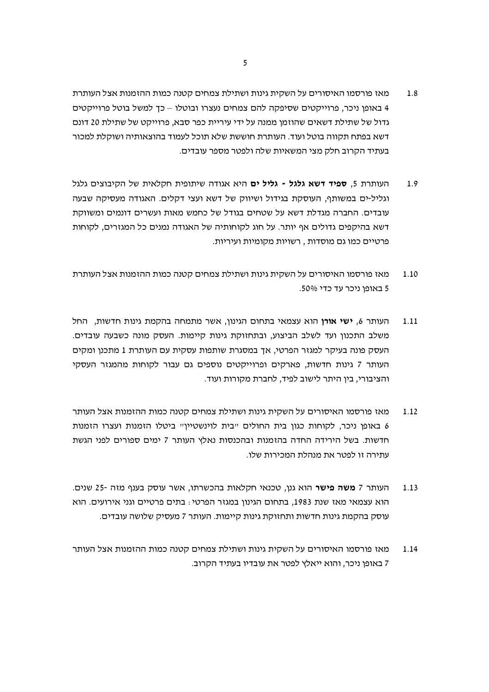- מאז פורסמו האיסורים על השקית גינות ושתילת צמחים קטנה כמות ההזמנות אצל העותרת 1.8 4 באופן ניכר, פרוייקטים שסיפקה להם צמחים נעצרו ובוטלו – כך למשל בוטל פרוייקטים גדול של שתילת דשאים שהוזמן ממנה על ידי עיריית כפר סבא, פרוייקט של שתילת 20 דונם דשא בפתח תקווה בוטל ועוד. העותרת חוששת שלא תוכל לעמוד בהוצאותיה ושוקלת למכור בעתיד הקרוב חלק מצי המשאיות שלה ולפטר מספר עובדים.
- העותרת 5, ספיד דשא גלגל גליל ים היא אגודה שיתופית חקלאית של הקיבוצים גלגל  $1.9$ וגליל-ים במשותף, העוסקת בגידול ושיווק של דשא ועצי דקלים. האגודה מעסיקה שבעה עובדים. החברה מגדלת דשא על שטחים בגודל של כחמש מאות ועשרים דונמים ומשווקת דשא בהיקפים גדולים אף יותר. על חוג לקוחותיה של האגודה נמנים כל המגזרים, לקוחות פרטיים כמו גם מוסדות , רשויות מקומיות ועיריות.
- מאז פורסמו האיסורים על השקית גינות ושתילת צמחים קטנה כמות ההזמנות אצל העותרת 1.10 5 באופו ניכר עד כדי 50%.
- העותר 6, **ישי אורו** הוא עצמאי בתחום הגינון, אשר מתמחה בהקמת גינות חדשות. החל  $1.11$ משלב התכנון ועד לשלב הביצוע, ובתחזוקת גינות קיימות. העסק מונה כשבעה עובדים. העסק פונה בעיקר למגזר הפרטי, אך במסגרת שותפות עסקית עם העותרת 1 מתכנן ומקים העותר 7 גינות חדשות, פארקים ופרוייקטים נוספים גם עבור לקוחות מהמגזר העסקי והציבורי, בין היתר לישוב לפיד, לחברת מקורות ועוד.
- מאז פורסמו האיסורים על השקית גינות ושתילת צמחים קטנה כמות ההזמנות אצל העותר  $112$ 6 באופן ניכר, לקוחות כגון בית החולים "בית לוינשטיין" ביטלו הזמנות ועצרו הזמנות חדשות. בשל הירידה החדה בהזמנות ובהכנסות נאלץ העותר 7 ימים ספורים לפני הגשת עתירה זו לפטר את מנהלת המכירות שלו.
- העותר 7 **משה פישר** הוא גנן, טכנאי חקלאות בהכשרתו, אשר עוסק בענף מזה -25 שנים.  $1.13$ הוא עצמאי מאז שנת 1983, בתחום הגינון במגזר הפרטי : בתים פרטיים וגני אירועים. הוא עוסק בהקמת גינות חדשות ותחזוקת גינות קיימות. העותר 7 מעסיק שלושה עובדים.
- מאז פורסמו האיסורים על השקית גינות ושתילת צמחים קטנה כמות ההזמנות אצל העותר 1.14 7 באופן ניכר, והוא ייאלץ לפטר את עובדיו בעתיד הקרוב.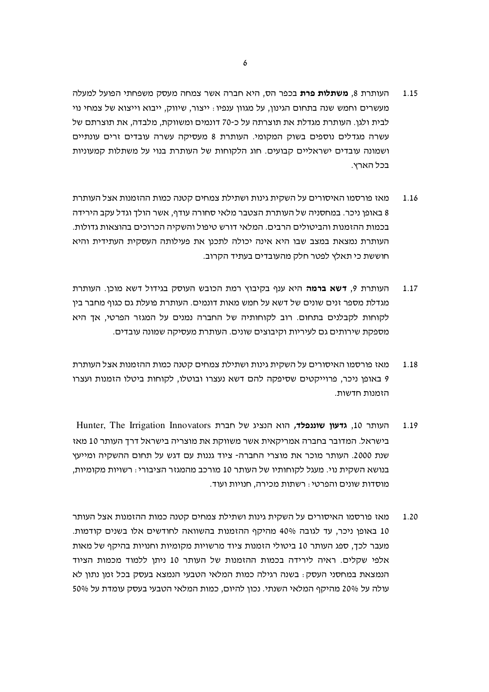- העותרת 8, **משתלות פרת** בכפר הס, היא חברה אשר צמחה מעסק משפחתי הפועל למעלה 1.15 מעשרים וחמש שנה בתחום הגינון, על מגוון ענפיו : ייצור, שיווק, ייבוא וייצוא של צמחי נוי לבית ולגו. העותרת מגדלת את תוצרתה על כ-70 דונמים ומשווקת. מלבדה, את תוצרתם של עשרה מגדלים נוספים בשוק המקומי. העותרת 8 מעסיקה עשרה עובדים זרים עונתיים ושמונה עובדים ישראליים קבועים. חוג הלקוחות של העותרת בנוי על משתלות קמעוניות בכל הארץ.
- מאז פורסמו האיסורים על השקית גינות ושתילת צמחים קטנה כמות ההזמנות אצל העותרת 1.16 8 באופו ניכר. במחסניה של העותרת הצטבר מלאי סחורה עודף, אשר הולד וגדל עקב הירידה בכמות ההזמנות והביטולים הרבים. המלאי דורש טיפול והשקיה הכרוכים בהוצאות גדולות. העותרת נמצאת במצב שבו היא אינה יכולה לתכנן את פעילותה העסקית העתידית והיא חוששת כי תאלץ לפטר חלק מהעובדים בעתיד הקרוב.
- העותרת 9, **דשא ברמה** היא ענף בקיבוץ רמת הכובש העוסק בגידול דשא מוכן. העותרת 1.17 מגדלת מספר זנים שונים של דשא על חמש מאות דונמים. העותרת פועלת גם כגוף מחבר ביו לקוחות לקבלנים בתחום. רוב לקוחותיה של החברה נמנים על המגזר הפרטי, אך היא מספקת שירותים גם לעיריות וקיבוצים שונים. העותרת מעסיקה שמונה עובדים.
- מאז פורסמו האיסורים על השקית גינות ושתילת צמחים קטנה כמות ההזמנות אצל העותרת 1.18 9 באופן ניכר, פרוייקטים שסיפקה להם דשא נעצרו ובוטלו, לקוחות ביטלו הזמנות ועצרו הזמנות חדשות.
- Hunter, The Irrigation Innovators העותר 10, גדעון שוננפלד, הוא הנציג של חברת 1.19 בישראל. המדובר בחברה אמריקאית אשר משווקת את מוצריה בישראל דרד העותר 10 מאז שנת 2000. העותר מוכר את מוצרי החברה- ציוד גננות עם דגש על תחום ההשקיה ומייעץ בנושא השקית נוי. מעגל לקוחותיו של העותר 10 מורכב מהמגזר הציבורי : רשויות מקומיות, מוסדות שונים והפרטי : רשתות מכירה. חנויות ועוד.
- מאז פורסמו האיסורים על השקית גינות ושתילת צמחים קטנה כמות ההזמנות אצל העותר 1.20 10 באופן ניכר, עד לגובה 40% מהיקף ההזמנות בהשוואה לחודשים אלו בשנים קודמות. מעבר לכד. ספג העותר 10 ביטולי הזמנות ציוד מרשויות מקומיות וחנויות בהיקף של מאות אלפי שקלים. ראיה לירידה בכמות ההזמנות של העותר 10 ניתן ללמוד מכמות הציוד הנמצאת במחסני העסק : בשנה רגילה כמות המלאי הטבעי הנמצא בעסק בכל זמן נתון לא עולה על 20% מהיקף המלאי השנתי. נכון להיום, כמות המלאי הטבעי בעסק עומדת על 50%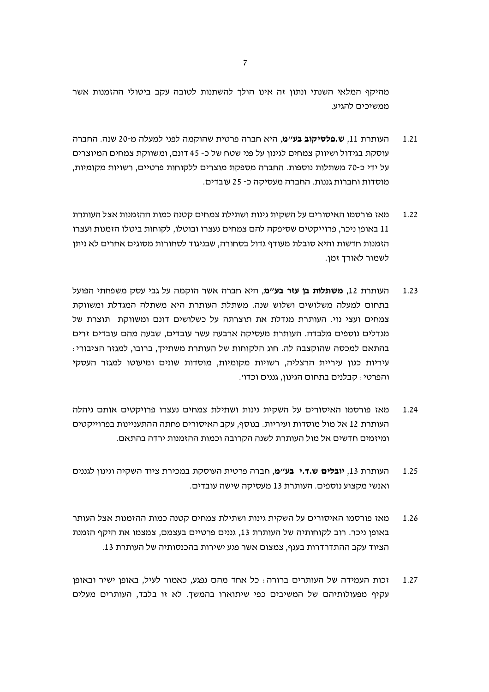מהיקף המלאי השנתי ונתון זה אינו הולך להשתנות לטובה עקב ביטולי ההזמנות אשר ממשיכים להגיע.

- העותרת 11, **ש.פלסיקוב בע"מ**, היא חברה פרטית שהוקמה לפני למעלה מ-20 שנה. החברה  $1.21$ עוסקת בגידול ושיווק צמחים לגינון על פני שטח של כ- 45 דונם, ומשווקת צמחים המיוצרים על ידי כ-70 משתלות נוספות. החברה מספקת מוצרים ללקוחות פרטיים, רשויות מקומיות, מוסדות וחברות גננות. החברה מעסיקה כ- 25 עובדים.
- מאז פורסמו האיסורים על השקית גינות ושתילת צמחים קטנה כמות ההזמנות אצל העותרת 1.22 11 באופן ניכר, פרוייקטים שסיפקה להם צמחים נעצרו ובוטלו, לקוחות ביטלו הזמנות ועצרו הזמנות חדשות והיא סובלת מעודף גדול בסחורה, שבניגוד לסחורות מסוגים אחרים לא ניתן לשמור לאורד זמו.
- העותרת 12, **משתלות בן עזר בע״מ**, היא חברה אשר הוקמה על גבי עסק משפחתי הפועל  $1.23$ בתחום למעלה משלושים ושלוש שנה. משתלת העותרת היא משתלה המגדלת ומשווקת צמחים ועצי נוי. העותרת מגדלת את תוצרתה על כשלושים דונם ומשווקת תוצרת של מגדלים נוספים מלבדה. העותרת מעסיקה ארבעה עשר עובדים, שבעה מהם עובדים זרים בהתאם למכסה שהוקצבה לה. חוג הלקוחות של העותרת משתייד, ברובו, למגזר הציבורי: עיריות כגון עיריית הרצליה, רשויות מקומיות, מוסדות שונים ומיעוטו למגזר העסקי והפרטי: קבלנים בתחום הגינון, גננים וכדו׳.
- מאז פורסמו האיסורים על השקית גינות ושתילת צמחים נעצרו פרויקטים אותם ניהלה  $1.24$ העותרת 12 אל מול מוסדות ועיריות. בנוסף, עקב האיסורים פחתה ההתעניינות בפרוייקטים ומיזמים חדשים אל מול העותרת לשנה הקרובה וכמות ההזמנות ירדה בהתאם.
- העותרת 13, **יובלים ש.ד.י בע"מ**, חברה פרטית העוסקת במכירת ציוד השקיה וגינון לגננים 1.25 ואנשי מקצוע נוספים. העותרת 13 מעסיקה שישה עובדים.
- מאז פורסמו האיסורים על השקית גינות ושתילת צמחים קטנה כמות ההזמנות אצל העותר 1.26 באופן ניכר. רוב לקוחותיה של העותרת 13, גננים פרטיים בעצמם, צמצמו את היקף הזמנת הציוד עקב ההתדרדרות בענף, צמצום אשר פגע ישירות בהכנסותיה של העותרת 13.
- זכות העמידה של העותרים ברורה: כל אחד מהם נפגע, כאמור לעיל, באופן ישיר ובאופן  $1.27$ עקיף מפעולותיהם של המשיבים כפי שיתוארו בהמשך. לא זו בלבד, העותרים מעלים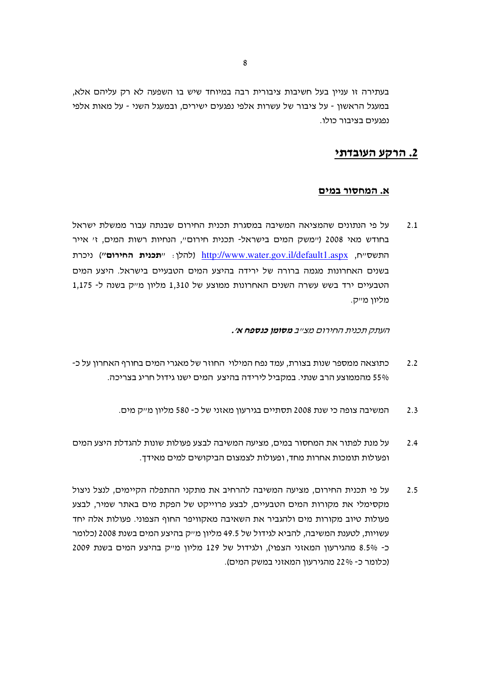בעתירה זו עניין בעל חשיבות ציבורית רבה במיוחד שיש בו השפעה לא רק עליהם אלא, במעגל הראשון - על ציבור של עשרות אלפי נפגעים ישירים, ובמעגל השני - על מאות אלפי נפגעים בציבור כולו.

# 2. הרקע העובדתי

#### א. המחסור במים

על פי הנתונים שהמציאה המשיבה במסגרת תכנית החירום שבנתה עבור ממשלת ישראל  $2.1$ בחודש מאי 2008 (יימשק המים בישראל- תכנית חירום", הנחיות רשות המים, ז' אייר התשסייח, http://www.water.gov.il/default1.aspx (להלן: ייתכנית החירום'י) ניכרת בשנים האחרונות מגמה ברורה של ירידה בהיצע המים הטבעיים בישראל. היצע המים הטבעיים ירד בשש עשרה השנים האחרונות ממוצע של 1,310 מליון מייק בשנה ל- 1,175 מליון מייק.

העתק תכנית החירום מצ״ב **מסומן כנספח א׳.** 

- כתוצאה ממספר שנות בצורת, עמד נפח המילוי. החוזר של מאגרי המים בחורף האחרון על כ- $2.2$ 55% מהממוצע הרב שנתי. במקביל לירידה בהיצע המים ישנו גידול חריג בצריכה.
	- המשיבה צופה כי שנת 2008 תסתיים בגירעוו מאזני של כ- 580 מליוו מייק מים.  $2.3$
- על מנת לפתור את המחסור במים, מציעה המשיבה לבצע פעולות שונות להגדלת היצע המים  $2.4$ ופעולות תומכות אחרות מחד, ופעולות לצמצום הביקושים למים מאידך.
- על פי תכנית החירום, מציעה המשיבה להרחיב את מתקני ההתפלה הקיימים, לנצל ניצול  $2.5$ מקסימלי את מקורות המים הטבעיים, לבצע פרוייקט של הפקת מים באתר שמיר, לבצע פעולות טיוב מקורות מים ולהגביר את השאיבה מאקוויפר החוף הצפוני. פעולות אלה יחד עשויות, לטענת המשיבה, להביא לגידול של 49.5 מליון מייק בהיצע המים בשנת 2008 (כלומר כ־ 8.5% מהגירעון המאזני הצפוי), ולגידול של 129 מליון מייק בהיצע המים בשנת 2009 (כלומר כ- 22% מהגירעון המאזני במשק המים).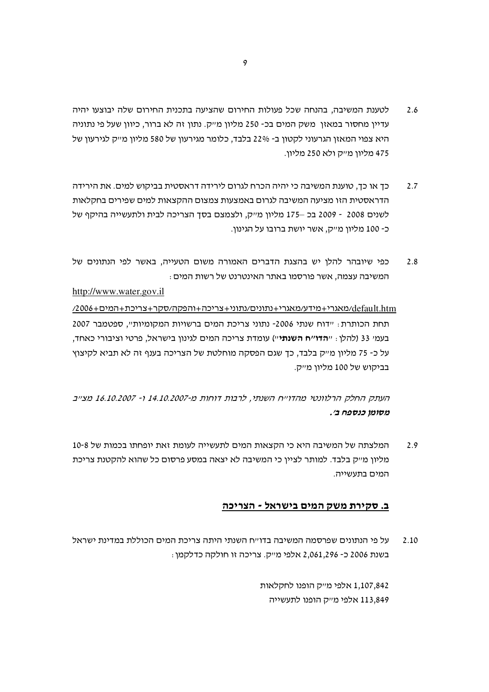- לטענת המשיבה, בהנחה שכל פעולות החירום שהציעה בתכנית החירום שלה יבוצעו יהיה 2.6 עדיין מחסור במאזן משק המים בכ- 250 מליון מ״ק. נתון זה לא ברור, כיוון שעל פי נתוניה היא צפוי המאזן הגרעוני לקטון ב- 22% בלבד, כלומר מגירעון של 580 מליון מייק לגירעון של 475 מליון מייק ולא 250 מליון.
- כד או כד. טוענת המשיבה כי יהיה הכרח לגרום לירידה דראסטית בביקוש למים. את הירידה  $2.7$ הדראסטית הזו מציעה המשיבה לגרום באמצעות צמצום ההקצאות למים שפירים בחקלאות לשנים 2008 - 2009 בכ –175 מליון מייק, ולצמצם בסד הצריכה לבית ולתעשייה בהיקף של כ- 100 מליון מ״ק, אשר יושת ברובו על הגינון.
- כפי שיובהר להלן יש בהצגת הדברים האמורה משום הטעייה, באשר לפי הנתונים של 2.8 המשיבה עצמה, אשר פורסמו באתר האינטרנט של רשות המים :

## http://www.water.gov.il

/2006+2006/מאגרי+מידע/מאגרי+נתונים/נתוני+צריכה+והפקה/סקר+צריכת+המים+2006/ תחת הכותרת: "דוח שנתי 2006- נתוני צריכת המים ברשויות המקומיות", ספטמבר 2007 בעמי 33 (להלן : "**הדו"ח השנתי**") עומדת צריכה המים לגינון בישראל, פרטי וציבורי כאחד, על כ- 75 מליון מייק בלבד, כך שגם הפסקה מוחלטת של הצריכה בענף זה לא תביא לקיצוץ בביקוש של 100 מליון מייק.

העתק החלק הרלוונטי מהדוייח השנתי, לרבות דוחות מ-14.10.2007 ו- 16.10.2007 מצייב מסומן כנספח ב׳.

המלצתה של המשיבה היא כי הקצאות המים לתעשייה לעומת זאת יופחתו בכמות של 10-8  $2.9$ מליון מייק בלבד. למותר לציין כי המשיבה לא יצאה במסע פרסום כל שהוא להקטנת צריכת המים בתעשייה.

## ב. סקירת משק המים בישראל - הצריכה

על פי הנתונים שפרסמה המשיבה בדו׳יח השנתי היתה צריכת המים הכוללת במדינת ישראל  $2.10$ בשנת 2006 כ- 2,061,296 אלפי מייק. צריכה זו חולקה כדלקמן:

> 1,107,842 אלפי מייק הופנו לחקלאות 113.849 אלפי מייק הופנו לתעשייה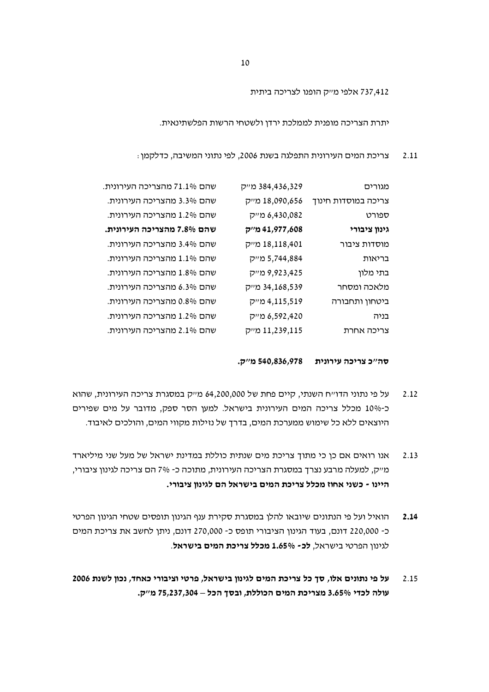737,412 אלפי מייק הופנו לצריכה ביתית

יתרת הצריכה מופנית לממלכת ירדן ולשטחי הרשות הפלשתינאית.

צריכת המים העירונית התפלגה בשנת 2006, לפי נתוני המשיבה, כדלקמן : 2.11

| מגורים              | 384,436,329 מייק | שהם 71.1% מהצריכה העירונית. |
|---------------------|------------------|-----------------------------|
| צריכה במוסדות חינוך | 18,090,656 מייק  | שהם 3.3% מהצריכה העירונית.  |
| ספורט               | 6,430,082 מייק   | שהם 1.2% מהצריכה העירונית.  |
| גינון ציבורי        | 608, 41,977 מייק | שהם 7.8% מהצריכה העירונית.  |
| מוסדות ציבור        | 18,118,401 מייק  | שהם 3.4% מהצריכה העירונית.  |
| בריאות              | 5,744,884 מייק   | שהם 1.1% מהצריכה העירונית.  |
| בתי מלון            | 9,923,425 מייק   | שהם 1.8% מהצריכה העירונית.  |
| מלאכה ומסחר         | 34,168,539 מייק  | שהם 6.3% מהצריכה העירונית.  |
| ביטחון ותחבורה      | 4,115,519 מייק   | שהם 0.8% מהצריכה העירונית.  |
| בניה                | 420, 6,592 מייק  | שהם 1.2% מהצריכה העירונית.  |
| צריכה אחרת          | 11,239,115 מייק  | שהם 2.1% מהצריכה העירונית.  |
|                     |                  |                             |

סה"כ צריכה עירונית 540,836,978 מ"ק.

- על פי נתוני הדו״ח השנתי, קיים פחת של 64,200,000 מ״ק במסגרת צריכה העירונית, שהוא  $2.12$ כ-10% מכלל צריכה המים העירונית בישראל. למען הסר ספק, מדובר על מים שפירים היוצאים ללא כל שימוש ממערכת המים, בדרך של נזילות מקווי המים, והולכים לאיבוד.
- אנו רואים אם כן כי מתוך צריכת מים שנתית כוללת במדינת ישראל של מעל שני מיליארד  $2.13$ מייק, למעלה מרבע נצרך במסגרת הצריכה העירונית, מתוכה כ- 7% הם צריכה לגינון ציבורי, היינו - כשני אחוז מכלל צריכת המים בישראל הם לגינון ציבורי.
- הואיל ועל פי הנתונים שיובאו להלן במסגרת סקירת ענף הגינון תופסים שטחי הגינון הפרטי 2.14 כ- 220,000 דונם, בעוד הגינון הציבורי תופס כ- 270,000 דונם, ניתן לחשב את צריכת המים לגינוו הפרטי בישראל. **לכ- 1.65% מכלל צריכת המים בישראל**.
- על פי נתונים אלו, סך כל צריכת המים לגינון בישראל, פרטי וציבורי כאחד, נכון לשנת 2006 2.15 עולה לכדי 3.65% מצריכת המים הכוללת, ובסך הכל – 75,237,304 מ"ק.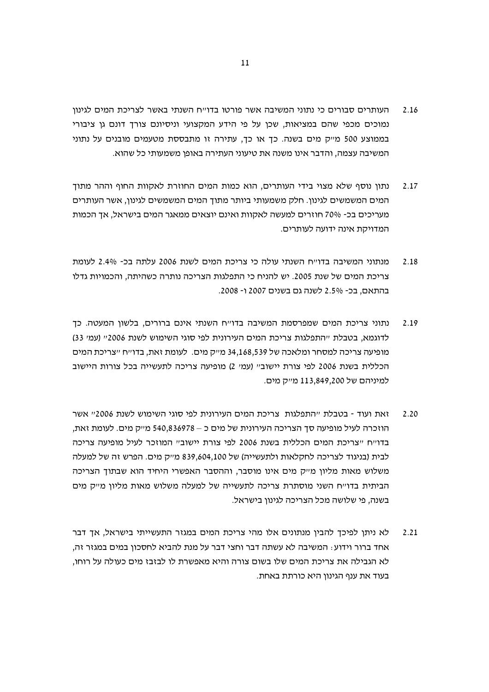- העותרים סבורים כי נתוני המשיבה אשר פורטו בדו״ח השנתי באשר לצריכת המים לגינון 2.16 נמוכים מכפי שהם במציאות, שכן על פי הידע המקצועי וניסיונם צורך דונם גן ציבורי בממוצע 500 מייק מים בשנה. כך או כך, עתירה זו מתבססת מטעמים מובנים על נתוני המשיבה עצמה, והדבר אינו משנה את טיעוני העתירה באופן משמעותי כל שהוא.
- נתוו נוסף שלא מצוי בידי העותרים. הוא כמות המים החוזרת לאקוות החוף וההר מתוד 2.17 המים המשמשים לגינון. חלק משמעותי ביותר מתוך המים המשמשים לגינון, אשר העותרים מעריכים בכ- 70% חוזרים למעשה לאקוות ואינם יוצאים ממאגר המים בישראל, אך הכמות המדויקת אינה ידועה לעותרים.
- מנתוני המשיבה בדו״ח השנתי עולה כי צריכת המים לשנת 2006 עלתה בכ- 2.4% לעומת 2.18 צריכת המים של שנת 2005. יש להניח כי התפלגות הצריכה נותרה כשהיתה, והכמויות גדלו בהתאם. בכ- 2.5% לשנה גם בשנים 2007 ו- 2008.
- נתוני צריכת המים שמפרסמת המשיבה בדוייח השנתי אינם ברורים, בלשון המעטה. כך 2.19 לדוגמא, בטבלת "התפלגות צריכת המים העירונית לפי סוגי השימוש לשנת 2006" (עמ' 33) מופיעה צריכה למסחר ומלאכה של 34,168,539 מייק מים. לעומת זאת, בדו׳יח ׳׳צריכת המים הכללית בשנת 2006 לפי צורת יישוב" (עמ' 2) מופיעה צריכה לתעשייה בכל צורות היישוב למיניהם של 113,849,200 מייק מים.
- זאת ועוד בטבלת ״התפלגות צריכת המים העירונית לפי סוגי השימוש לשנת 2006״ אשר  $2.20$ הוזכרה לעיל מופיעה סך הצריכה העירונית של מים כ – 540,836978 מייק מים. לעומת זאת, בדוייח ייצריכת המים הכללית בשנת 2006 לפי צורת יישוביי המוזכר לעיל מופיעה צריכה לבית (בניגוד לצריכה לחקלאות ולתעשייה) של 839,604,100 מייק מים. הפרש זה של למעלה משלוש מאות מליון מייק מים אינו מוסבר, וההסבר האפשרי היחיד הוא שבתוך הצריכה הביתית בדוייח השני מוסתרת צריכה לתעשייה של למעלה משלוש מאות מליון מייק מים בשנה. פי שלושה מכל הצריכה לגינוו בישראל.
- לא ניתן לפיכך להבין מנתונים אלו מהי צריכת המים במגזר התעשייתי בישראל, אך דבר  $2.21$ אחד ברור וידוע: המשיבה לא עשתה דבר וחצי דבר על מנת להביא לחסכון במים במגזר זה, לא הגבילה את צריכת המים שלו בשום צורה והיא מאפשרת לו לבזבז מים כעולה על רוחו, בעוד את ענף הגינוו היא כורתת באחת.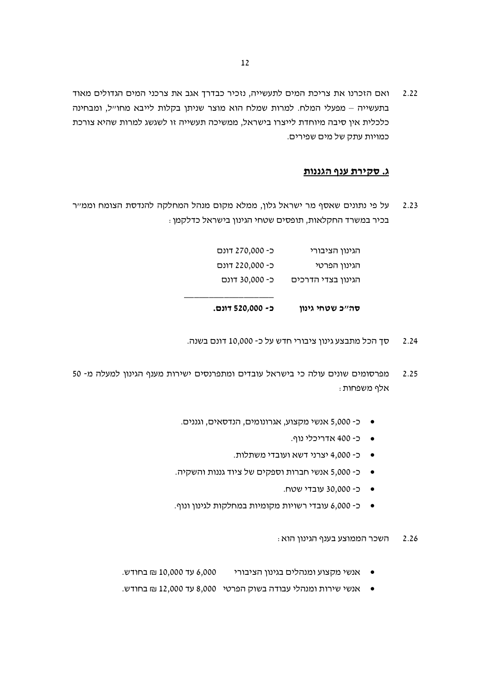ואם הזכרנו את צריכת המים לתעשייה, נזכיר כבדרך אגב את צרכני המים הגדולים מאוד 2.22 בתעשייה – מפעלי המלח. למרות שמלח הוא מוצר שניתן בקלות לייבא מחו״ל, ומבחינה כלכלית אין סיבה מיוחדת לייצרו בישראל, ממשיכה תעשייה זו לשגשג למרות שהיא צורכת כמויות עתק של מים שפירים.

#### ג. סקירת ענף הגננות

על פי נתונים שאסף מר ישראל גלון, ממלא מקום מנהל המחלקה להנדסת הצומח וממייר  $2.23$ בכיר במשרד החקלאות, תופסים שטחי הגינון בישראל כדלקמן :

| כ- 520,000 דונם. | סה״כ שטחי גינון    |
|------------------|--------------------|
| כ- 30,000 דונם   | הגינון בצדי הדרכים |
| כ- 220,000 דונם  | הגינון הפרטי       |
| כ- 270,000 דונם  | הגינון הציבורי     |

- סך הכל מתבצע גינון ציבורי חדש על כ- 10,000 דונם בשנה.  $2.24$
- מפרסומים שונים עולה כי בישראל עובדים ומתפרנסים ישירות מענף הגינון למעלה מ- 50 2.25 : אלף משפחות
	- כ- 5,000 אנשי מקצוע, אגרונומים, הנדסאים, וגננים.
		- כ-400 אדריכלי נוף.
		- כ- 4,000 יצרני דשא ועובדי משתלות.
	- כ- 5,000 אנשי חברות וספקים של ציוד גננות והשקיה.
		- כ- 30,000 עובדי שטח.
	- כ- 6,000 עובדי רשויות מקומיות במחלקות לגינון ונוף.
		- ּהשכר הממוצע בענף הגינון הוא 2.26
	- אנשי מקצוע ומנהלים בגינון הציבורי 10,000 עד 10,000 ₪ בחודש.
	- אנשי שירות ומנהלי עבודה בשוק הפרטי 8,000 עד 12,000 ₪ בחודש.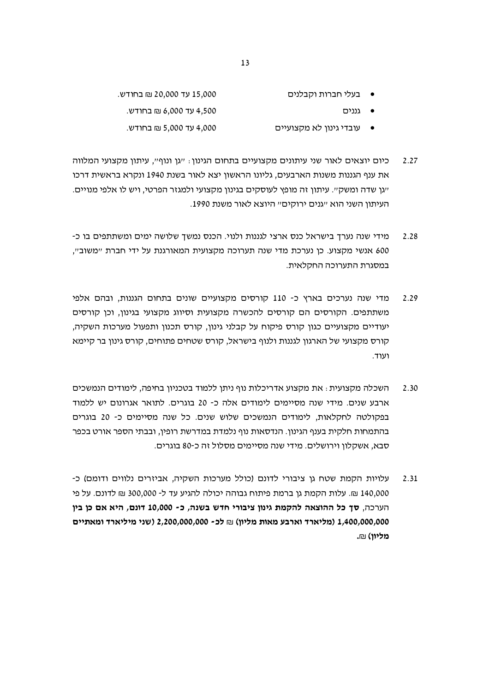- 15,000 עד 20,000 ₪ בחודש. בעלי חברות וקבלנים
	- 4,500 עד 6,000 ₪ בחודש. ● גננים
	- 4,000 עד 5,000 ₪ בחודש. ● עובדי גינון לא מקצועיים
- כיום יוצאים לאור שני עיתונים מקצועיים בתחום הגינון: "גן ונוף", עיתון מקצועי המלווה 2.27 את ענף הגננות משנות הארבעים, גליונו הראשון יצא לאור בשנת 1940 ונקרא בראשית דרכו ייגן שדה ומשק״. עיתון זה מופץ לעוסקים בגינון מקצועי ולמגזר הפרטי, ויש לו אלפי מנויים. העיתון השני הוא "גנים ירוקים" היוצא לאור משנת 1990.
- מידי שנה נערך בישראל כנס ארצי לגננות ולנוי. הכנס נמשך שלושה ימים ומשתתפים בו כ-2.28 600 אנשי מקצוע. כן נערכת מדי שנה תערוכה מקצועית המאורגנת על ידי חברת "משוב", במסגרת התערוכה החקלאית.
- מדי שנה נערכים בארץ כ- 110 קורסים מקצועיים שונים בתחום הגננות, ובהם אלפי 2.29 משתתפים. הקורסים הם קורסים להכשרה מקצועית וסיווג מקצועי בגינון, וכן קורסים יעודיים מקצועיים כגון קורס פיקוח על קבלני גינון, קורס תכנון ותפעול מערכות השקיה, קורס מקצועי של הארגון לגננות ולנוף בישראל, קורס שטחים פתוחים, קורס גינון בר קיימא ועוד.
- השכלה מקצועית : את מקצוע אדריכלות נוף ניתן ללמוד בטכניון בחיפה, לימודים הנמשכים  $2.30$ ארבע שנים. מידי שנה מסיימים לימודים אלה כ- 20 בוגרים. לתואר אגרונום יש ללמוד בפקולטה לחקלאות, לימודים הנמשכים שלוש שנים. כל שנה מסיימים כ- 20 בוגרים בהתמחות חלקית בענף הגינון. הנדסאות נוף נלמדת במדרשת רופין, ובבתי הספר אורט בכפר סבא. אשקלוו וירושלים. מידי שנה מסיימים מסלול זה כ-80 בוגרים.
- עלויות הקמת שטח גן ציבורי לדונם (כולל מערכות השקיה, אביזרים נלווים ודומם) כ-2.31 140,000 ₪. עלות הקמת גן ברמת פיתוח גבוהה יכולה להגיע עד ל- 300,000 ₪ לדונם. על פי הערכה, סך כל ההוצאה להקמת גינון ציבורי חדש בשנה, כ- 10,000 דונם, היא אם כן בין 1,400,000,000 (מליארד וארבע מאות מליון) ₪ לכ- 2,200,000,000 (שני מיליארד ומאתיים מליוו) ₪.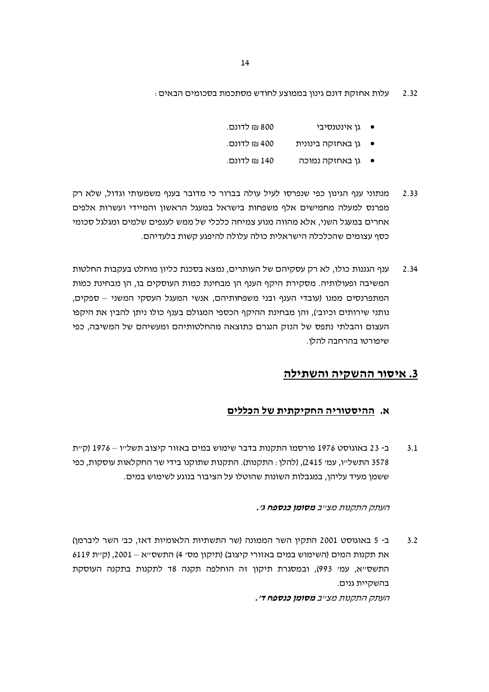עלות אחזקת דונם גינון בממוצע לחודש מסתכמת בסכומים הבאים : 2.32

| 800 ₪ לדונם. | גו אינטנסיבי      |  |
|--------------|-------------------|--|
| 400 ₪ לדונם. | גן באחזקה בינונית |  |

- 140 ₪ לדונם. ● גן באחזקה נמוכה
- מנתוני ענף הגינון כפי שנפרסו לעיל עולה בברור כי מדובר בענף משמעותי וגדול, שלא רק 2.33 מפרנס למעלה מחמישים אלף משפחות בישראל במעגל הראשון והמיידי ועשרות אלפים אחרים במעגל השני, אלא מהווה מנוע צמיחה כלכלי של ממש לענפים שלמים ומגלגל סכומי כסף עצומים שהכלכלה הישראלית כולה עלולה להיפגע קשות בלעדיהם.
- ענף הגננות כולו, לא רק עסקיהם של העותרים, נמצא בסכנת כליון מוחלט בעקבות החלטות 2.34 המשיבה ופעולותיה. מסקירת היקף הענף הן מבחינת כמות העוסקים בו, הן מבחינת כמות המתפרנסים ממנו (עובדי הענף ובני משפחותיהם, אנשי המעגל העסקי המשני – ספקים, נותני שירותים וכיוב׳), והן מבחינת ההיקף הכספי המגולם בענף כולו ניתן להבין את היקפו העצום והבלתי נתפס של הנזק הנגרם כתוצאה מהחלטותיהם ומעשיהם של המשיבה, כפי שיפורטו בהרחבה להלו.

# 3. איסור ההשקיה והשתילה

# א. ההיסטוריה החקיקתית של הכללים

ב- 23 באוגוסט 1976 פורסמו התקנות בדבר שימוש במים באזור קיצוב תשל״ו - 1976 (ק״ת  $3.1$ 3578 התשל״ו, עמ׳ 2415), (להלן : התקנות). התקנות שתוקנו בידי שר החקלאות עוסקות, כפי ששמן מעיד עליהן, במגבלות השונות שהוטלו על הציבור בנוגע לשימוש במים.

#### העתק התקנות מצ״ב **מסומן כנספח ג׳.**

ב- 5 באוגוסט 2001 התקין השר הממונה (שר התשתיות הלאומיות דאז, כב׳ השר ליברמן)  $3.2$ את תקנות המים (השימוש במים באזורי קיצוב) (תיקון מסי 4) התשסייא – 2001, (קיית 6119 התשסייא, עמי 993), ובמסגרת תיקון זה הוחלפה תקנה 18 לתקנות בתקנה העוסקת בהשקיית גנים.

העתק התקנות מצ״ב **מסומן כנספח ד׳.**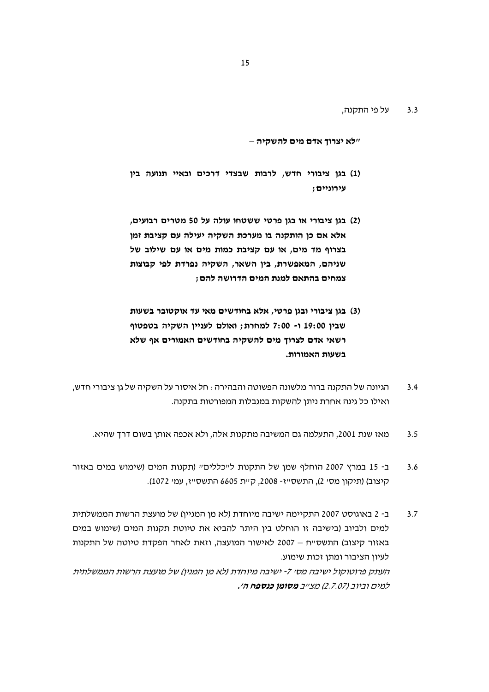על פי התקנה,  $3.3$ 

״לא יצרוך אדם מים להשקיה –

- (1) בגן ציבורי חדש, לרבות שבצדי דרכים ובאיי תנועה בין עירוניים;
- (2) בגן ציבורי או בגן פרטי ששטחו עולה על 50 מטרים רבועים, אלא אם כן הותקנה בו מערכת השקיה יעילה עם קציבת זמן בצרוף מד מים, או עם קציבת כמות מים או עם שילוב של שניהם, המאפשרת, בין השאר, השקיה נפרדת לפי קבוצות צמחים בהתאם למנת המים הדרושה להם;
- (3) בגן ציבורי ובגן פרטי, אלא בחודשים מאי עד אוקטובר בשעות שבין 19:00 ו- 7:00 למחרת; ואולם לעניין השקיה בטפטוף רשאי אדם לצרוך מים להשקיה בחודשים האמורים אף שלא בשעות האמורות.
- הגיונה של התקנה ברור מלשונה הפשוטה והבהירה : חל איסור על השקיה של גן ציבורי חדש,  $3.4$ ואילו כל גינה אחרת ניתן להשקות במגבלות המפורטות בתקנה.
	- מאז שנת 2001, התעלמה גם המשיבה מתקנות אלה, ולא אכפה אותן בשום דרך שהיא.  $3.5$
- ב- 15 במרץ 2007 הוחלף שמן של התקנות ל"כללים" (תקנות המים (שימוש במים באזור  $3.6$ קיצוב) (תיקון מסי 2), התשסייז- 2008, קיית 6605 התשסייז, עמי 1072).
- ב- 2 באוגוסט 2007 התקיימה ישיבה מיוחדת (לא מן המניין) של מועצת הרשות הממשלתית  $3.7$ למים ולביוב (בישיבה זו הוחלט בין היתר להביא את טיוטת תקנות המים (שימוש במים באזור קיצוב) התשסייח – 2007 לאישור המועצה, וזאת לאחר הפקדת טיוטה של התקנות לעיון הציבור ומתן זכות שימוע. העתק פרוטוקול ישיבה מסי 7- ישיבה מיוחדת (לא מן המנין) של מועצת הרשות הממשלתית למים וביוב (2.7.07) מצייב **מסומן כנספח ה׳.**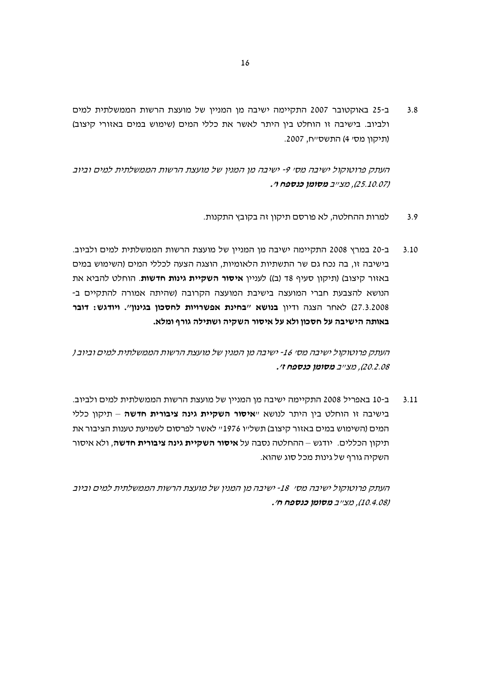ב-25 באוקטובר 2007 התקיימה ישיבה מן המניין של מועצת הרשות הממשלתית למים  $3.8$ ולביוב. בישיבה זו הוחלט בין היתר לאשר את כללי המים (שימוש במים באזורי קיצוב) (תיקון מס׳ 4) התשס״ח, 2007.

העתק פרוטוקול ישיבה מס׳ 9- ישיבה מן המנין של מועצת הרשות הממשלתית למים וביוב (25.10.07), מצייב **מסומן כנספח ו׳.** 

- למרות ההחלטה, לא פורסם תיקון זה בקובץ התקנות.  $3.9$
- ב-20 במרץ 2008 התקיימה ישיבה מן המניין של מועצת הרשות הממשלתית למים ולביוב.  $3.10$ בישיבה זו, בה נכח גם שר התשתיות הלאומיות, הוצגה הצעה לכללי המים (השימוש במים באזור קיצוב) (תיקון סעיף 18 (ב)) לעניין **איסור השקיית גינות חדשות**. הוחלט להביא את הנושא להצבעת חברי המועצה בישיבת המועצה הקרובה (שהיתה אמורה להתקיים ב-27.3.2008) לאחר הצגה ודיון בנושא "בחינת אפשרויות לחסכון בגינון". ויודגש: דובר באותה הישיבה על חסכון ולא על איסור השקיה ושתילה גורף ומלא.

העתק פרוטוקול ישיבה מסי 16- ישיבה מן המנין של מועצת הרשות הממשלתית למים וביוב ( 20.2.08), מצייב **מסומן כנספח ז׳.** 

ב-10 באפריל 2008 התקיימה ישיבה מן המניין של מועצת הרשות הממשלתית למים ולביוב.  $3.11$ בישיבה זו הוחלט בין היתר לנושא "**איסור השקיית גינה ציבורית חדשה** – תיקון כללי המים (השימוש במים באזור קיצוב) תשל׳יו 1976'׳׳ לאשר לפרסום לשמיעת טענות הציבור את תיקון הכללים. יודגש – ההחלטה נסבה על **איסור השקיית גינה ציבורית חדשה**, ולא איסור השקיה גורף של גינות מכל סוג שהוא.

העתק פרוטוקול ישיבה מסי 18- ישיבה מן המנין של מועצת הרשות הממשלתית למים וביוב (10.4.08), מצייב מסומן כנספח ח׳.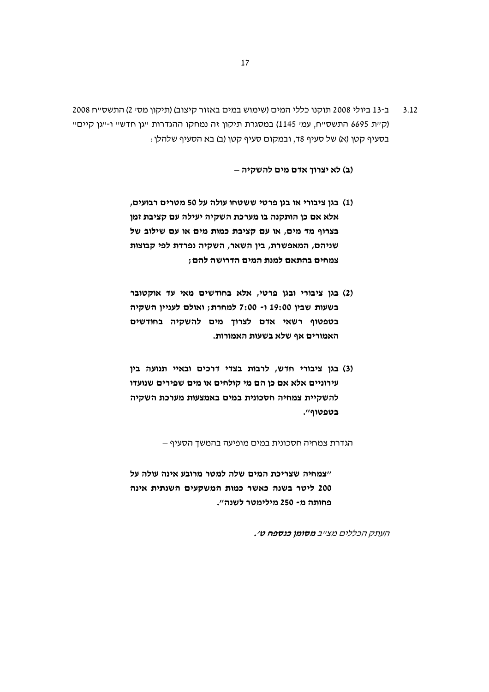ב-13 ביולי 2008 תוקנו כללי המים (שימוש במים באזור קיצוב) (תיקון מסי 2) התשסייח 2008  $3.12$ (קיית 6695 התשסייח, עמי 1145) במסגרת תיקון זה נמחקו ההגדרות ייגן חדשיי ו-ייגן קייםיי : בסעיף קטן (א) של סעיף 18, ובמקום סעיף קטן (ב) בא הסעיף שלהלן

(ב) לא יצרוך אדם מים להשקיה –

- (1) בגן ציבורי או בגן פרטי ששטחו עולה על 50 מטרים רבועים, אלא אם כן הותקנה בו מערכת השקיה יעילה עם קציבת זמן בצרוף מד מים, או עם קציבת כמות מים או עם שילוב של שניהם, המאפשרת, בין השאר, השקיה נפרדת לפי קבוצות צמחים בהתאם למנת המים הדרושה להם ;
- (2) בגן ציבורי ובגן פרטי, אלא בחודשים מאי עד אוקטובר בשעות שבין 19:00 ו- 7:00 למחרת; ואולם לעניין השקיה בטפטוף רשאי אדם לצרוך מים להשקיה בחודשים האמורים אף שלא בשעות האמורות.
- (3) בגן ציבורי חדש, לרבות בצדי דרכים ובאיי תנועה בין עירוניים אלא אם כן הם מי קולחים או מים שפירים שנועדו להשקיית צמחיה חסכונית במים באמצעות מערכת השקיה בטפטוף".

הגדרת צמחיה חסכונית במים מופיעה בהמשך הסעיף –

"צמחיה שצריכת המים שלה למטר מרובע אינה עולה על 200 ליטר בשנה כאשר כמות המשקעים השנתית אינה פחותה מ- 250 מילימטר לשנה".

העתק הכללים מצ״ב **מסומן כנספח ט׳.**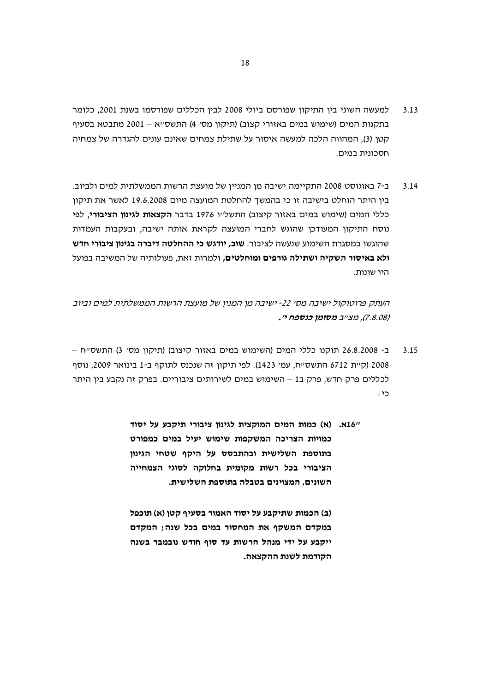- למעשה השוני בין התיקון שפורסם ביולי 2008 לבין הכללים שפורסמו בשנת 2001, כלומר  $3.13$ בתקנות המים (שימוש במים באזורי קצוב) (תיקון מסי 4) התשס״א – 2001 מתבטא בסעיף קטו (3). המהווה הלכה למעשה איסור על שתילת צמחים שאינם עונים להגדרה של צמחיה חסרוויה רמיח
- ב-7 באוגוסט 2008 התקיימה ישיבה מו המנייו של מועצת הרשות הממשלתית למים ולביוב.  $3.14$ בין היתר הוחלט בישיבה זו כי בהמשך להחלטת המועצה מיום 19.6.2008 לאשר את תיקון כללי המים (שימוש במים באזור קיצוב) התשל״ו 1976 בדבר **הקצאות לגינון הציבורי**, לפי נוסח התיקון המעודכן שהוגש לחברי המועצה לקראת אותה ישיבה, ובעקבות העמדות שהוגשו במסגרת השימוע שנעשה לציבור. **שוב, יודגש כי ההחלטה דיברה בגינון ציבורי חדש ולא באיסור השקיה ושתילה גורפים ומוחלטים.** ולמרות זאת. פעולותיה של המשיבה בפועל היו שונות.

העתק פרוטוקול ישיבה מסי 22- ישיבה מו המניו של מועצת הרשות הממשלתית למים וביוב (7.8.08), מצייב **מסומן כנספח י׳.** 

- ב- 26.8.2008 תוקנו כללי המים (השימוש במים באזור קיצוב) (תיקון מסי 3) התשס׳יח  $3.15$ 2008 (ק״ת 6712 התשס״ח, עמי 1423). לפי תיקון זה שנכנס לתוקף ב-1 בינואר 2009, נוסף לכללים פרק חדש, פרק ב1 – השימוש במים לשירותים ציבוריים. בפרק זה נקבע בין היתר : כי
	- "16א. (א) כמות המים המוקצית לגינון ציבורי תיקבע על יסוד כמויות הצריכה המשקפות שימוש יעיל במים כמפורט בתוספת השלישית ובהתבסס על היקף שטחי הגינון הציבורי בכל רשות מקומית בחלוקה לסוגי הצמחייה השונים. המצוינים בטבלה בתוספת השלישית.

(ב) הכמות שתיקבע על יסוד האמור בסעיף קטן (א) תוכפל במקדם המשקף את המחסור במים בכל שנה; המקדם ייקבע על ידי מנהל הרשות עד סוף חודש נובמבר בשנה הקודמת לשנת ההקצאה.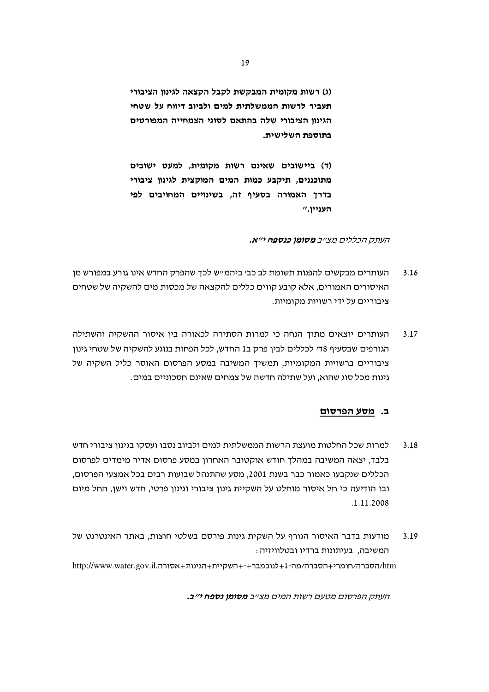(ג) רשות מקומית המבקשת לקבל הקצאה לגינון הציבורי תעביר לרשות הממשלתית למים ולביוב דיווח על שטחי הגינוו הציבורי שלה בהתאם לסוגי הצמחייה המפורטים בתוספת השלישית.

(ד) ביישובים שאינם רשות מקומית, למעט ישובים מתוכננים, תיקבע כמות המים המוקצית לגינון ציבורי בדרך האמורה בסעיף זה, בשינויים המחויבים לפי העניין."

#### העתק הכללים מצייב **מסומן כנספח י״א.**

- העותרים מבקשים להפנות תשומת לב כב׳ ביהמי׳ש לכך שהפרק החדש אינו גורע במפורש מן  $3.16$ האיסורים האמורים, אלא קובע קווים כללים להקצאה של מכסות מים להשקיה של שטחים ציבוריים על ידי רשויות מקומיות.
- העותרים יוצאים מתוך הנחה כי למרות הסתירה לכאורה בין איסור ההשקיה והשתילה  $3.17$ הגורפים שבסעיף 18י לכללים לבין פרק ב1 החדש, לכל הפחות בנוגע להשקיה של שטחי גינון ציבוריים ברשויות המקומיות, תמשיך המשיבה במסע הפרסום האוסר כליל השקיה של גינות מכל סוג שהוא, ועל שתילה חדשה של צמחים שאינם חסכוניים במים.

#### ב. מסע הפרסום

- למרות שכל החלטות מועצת הרשות הממשלתית למים ולביוב נסבו ועסקו בגינון ציבורי חדש  $3.18$ בלבד, יצאה המשיבה במהלך חודש אוקטובר האחרון במסע פרסום אדיר מימדים לפרסום הכללים שנקבעו כאמור כבר בשנת 2001. מסע שהתנהל שבועות רבים בכל אמצעי הפרסום. ובו הודיעה כי חל איסור מוחלט על השקיית גינון ציבורי וגינון פרטי, חדש וישן, החל מיום .1.11.2008
- מודעות בדבר האיסור הגורף על השקית גינות פורסם בשלטי חוצות, באתר האינטרנט של  $3.19$ המשיבה, בעיתונות ברדיו ובטלוויזיה : http://www.water.gov.il.htm/הסברה/מה־1+לנובמבר+-+השקיית+הגינות+אסורה.http://www.water.gov.il

העתק הפרסום מטעם רשות המים מצ״ב **מסומן נספח י״ב.**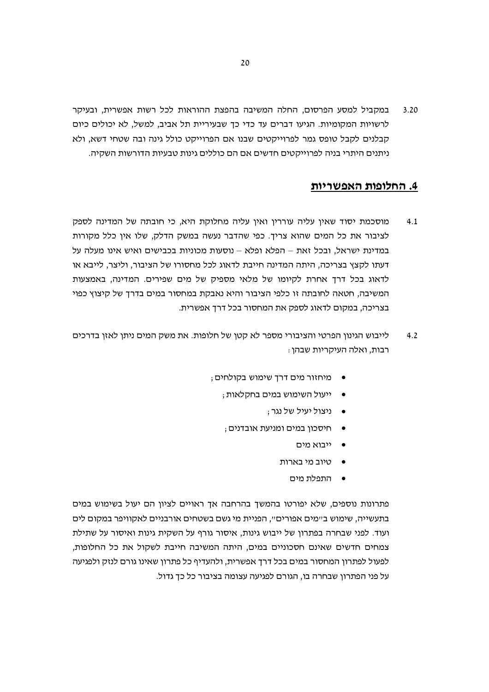במקביל למסע הפרסום, החלה המשיבה בהפצת ההוראות לכל רשות אפשרית, ובעיקר  $3.20$ לרשויות המקומיות. הגיעו דברים עד כדי כך שבעיריית תל אביב, למשל, לא יכולים כיום קבלנים לקבל טופס גמר לפרוייקטים שבנו אם הפרוייקט כולל גינה ובה שטחי דשא, ולא ניתנים היתרי בניה לפרוייקטים חדשים אם הם כוללים גינות טבעיות הדורשות השקיה.

# 4. החלופות האפשריות

- מוסכמת יסוד שאין עליה עוררין ואין עליה מחלוקת היא, כי חובתה של המדינה לספק  $4.1$ לציבור את כל המים שהוא צריך. כפי שהדבר נעשה במשק הדלק, שלו אין כלל מקורות במדינת ישראל, ובכל זאת – הפלא ופלא – נוסעות מכוניות בכבישים ואיש אינו מעלה על דעתו לקצץ בצריכה, היתה המדינה חייבת לדאוג לכל מחסורו של הציבור, וליצר, לייבא או לדאוג בכל דרך אחרת לקיומו של מלאי מספיק של מים שפירים. המדינה, באמצעות המשיבה, חטאה לחובתה זו כלפי הציבור והיא נאבקת במחסור במים בדרך של קיצוץ כפוי בצריכה, במקום לדאוג לספק את המחסור בכל דרך אפשרית.
- לייבוש הגינון הפרטי והציבורי מספר לא קטן של חלופות. את משק המים ניתן לאזן בדרכים  $4.2$ רבות, ואלה העיקריות שבהן :
	- מיחזור מים דרך שימוש בקולחים ;
		- ייעול השימוש במים בחקלאות;
			- ניצול יעיל של נגר:
		- , חיסכון במים ומניעת אובדנים
			- ייבוא מים
			- טיוב מי בארות
				- התפלת מים

פתרונות נוספים, שלא יפורטו בהמשך בהרחבה אך ראויים לציון הם יעול בשימוש במים בתעשייה, שימוש ב״מים אפורים״, הפניית מי גשם בשטחים אורבניים לאקוויפר במקום לים ועוד. לפני שבחרה בפתרון של ייבוש גינות, איסור גורף על השקית גינות ואיסור על שתילת צמחים חדשים שאינם חסכוניים במים, היתה המשיבה חייבת לשקול את כל החלופות, לפעול לפתרון המחסור במים בכל דרך אפשרית, ולהעדיף כל פתרון שאינו גורם לנזק ולפגיעה על פני הפתרון שבחרה בו, הגורם לפגיעה עצומה בציבור כל כך גדול.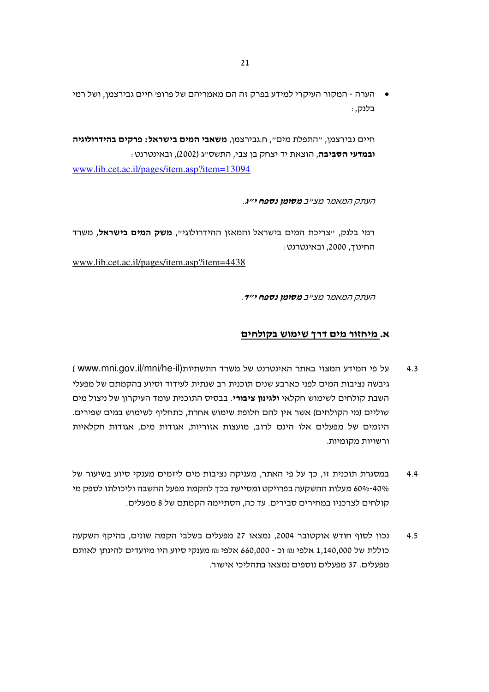הערה - המקור העיקרי למידע בפרק זה הם מאמריהם של פרופי חיים גבירצמן, ושל רמי בלנק, :

חיים גבירצמן, ״התפלת מים״, ח.גבירצמן, **משאבי המים בישראל: פרקים בהידרולוגיה** ובמדעי הסביבה, הוצאת יד יצחק בן צבי, התשס״ג (2002), ובאינטרנט :

www.lib.cet.ac.il/pages/item.asp?item=13094

העתק המאמר מצ״ב **מסומן נספח י״ג**.

רמי בלנק, ״צריכת המים בישראל והמאזן ההידרולוגי״. **משק המים בישראל,** משרד החינוך, 2000, ובאינטרנט :

www.lib.cet.ac.il/pages/item.asp?item=4438

העתק המאמר מצ״ב **מסומן נספח י״ד**.

#### א. מיחזור מים דרך שימוש בקולחים

- על פי המידע המצוי באתר האינטרנט של משרד התשתיות(www.mni.gov.il/mni/he-il  $4.3$ גיבשה נציבות המים לפני כארבע שנים תוכנית רב שנתית לעידוד וסיוע בהקמתם של מפעלי השבת קולחים לשימוש חקלאי **ולגינון ציבורי**. בבסיס התוכנית עומד העיקרון של ניצול מים שוליים (מי הקולחים) אשר אין להם חלופת שימוש אחרת, כתחליף לשימוש במים שפירים. היזמים של מפעלים אלו הינם לרוב, מועצות אזוריות, אגודות מים, אגודות חקלאיות ורשויות מקומיות.
- במסגרת תוכנית זו, כך על פי האתר, מעניקה נציבות מים ליזמים מענקי סיוע בשיעור של  $4.4$ 40%-60% מעלות ההשקעה בפרויקט ומסייעת בכך להקמת מפעל ההשבה וליכולתו לספק מי קולחים לצרכניו במחירים סבירים. עד כה, הסתיימה הקמתם של 8 מפעלים.
- נכון לסוף חודש אוקטובר 2004, נמצאו 27 מפעלים בשלבי הקמה שונים, בהיקף השקעה  $4.5$ כוללת של 1,140,000 אלפי ₪ וכ - 660,000 אלפי ₪ מענקי סיוע היו מיועדים להינתן לאותם מפעלים. 37 מפעלים נוספים נמצאו בתהליכי אישור.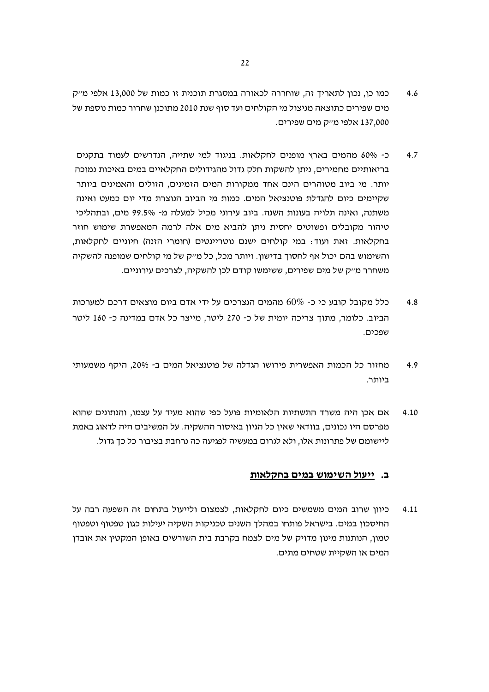- כמו כן, נכון לתאריך זה, שוחררה לכאורה במסגרת תוכנית זו כמות של 13,000 אלפי מייק  $4.6$ מים שפירים כתוצאה מניצול מי הקולחים ועד סוף שנת 2010 מתוכנן שחרור כמות נוספת של 137,000 אלפי מייק מים שפירים.
- כ- 60% מהמים בארץ מופנים לחקלאות. בניגוד למי שתייה, הנדרשים לעמוד בתקנים  $4.7$ בריאותיים מחמירים, ניתו להשקות חלק גדול מהגידולים החקלאיים במים באיכות נמוכה יותר. מי ביוב מטוהרים הינם אחד ממקורות המים הזמינים, הזולים והאמינים ביותר שקיימים כיום להגדלת פוטנציאל המים. כמות מי הביוב הנוצרת מדי יום כמעט ואינה משתנה, ואינה תלויה בעונות השנה. ביוב עירוני מכיל למעלה מ- 99.5% מים, ובתהליכי טיהור מקובלים ופשוטים יחסית ניתן להביא מים אלה לרמה המאפשרת שימוש חוזר בחקלאות. זאת ועוד: במי קולחים ישנם נוטריינטים (חומרי הזנה) חיוניים לחקלאות, והשימוש בהם יכול אף לחסוך בדישון. ויותר מכל, כל מייק של מי קולחים שמופנה להשקיה משחרר מייק של מים שפירים. ששימשו קודם לכו להשקיה. לצרכים עירוניים.
- כלל מקובל קובע כי כ- 60% מהמים הנצרכים על ידי אדם ביום מוצאים דרכם למערכות  $4.8$ הביוב. כלומר, מתוך צריכה יומית של כ- 270 ליטר, מייצר כל אדם במדינה כ- 160 ליטר שפכים.
- מחזור כל הכמות האפשרית פירושו הגדלה של פוטנציאל המים ב- 20%. היקף משמעותי  $4.9$ ביותר.
- אם אכן היה משרד התשתיות הלאומיות פועל כפי שהוא מעיד על עצמו, והנתונים שהוא  $4.10$ מפרסם היו נכונים, בוודאי שאין כל הגיון באיסור ההשקיה. על המשיבים היה לדאוג באמת ליישומם של פתרונות אלו, ולא לגרום במעשיה לפגיעה כה נרחבת בציבור כל כך גדול.

#### ב. ייעול השימוש במים בחקלאות

כיווו שרוב המים משמשים כיום לחקלאות. לצמצום ולייעול בתחום זה השפעה רבה על  $4.11$ החיסכון במים. בישראל פותחו במהלך השנים טכניקות השקיה יעילות כגון טפטוף וטפטוף טמון, הנותנות מינון מדויק של מים לצמח בקרבת בית השורשים באופן המקטין את אובדן המים או השקיית שטחים מתים.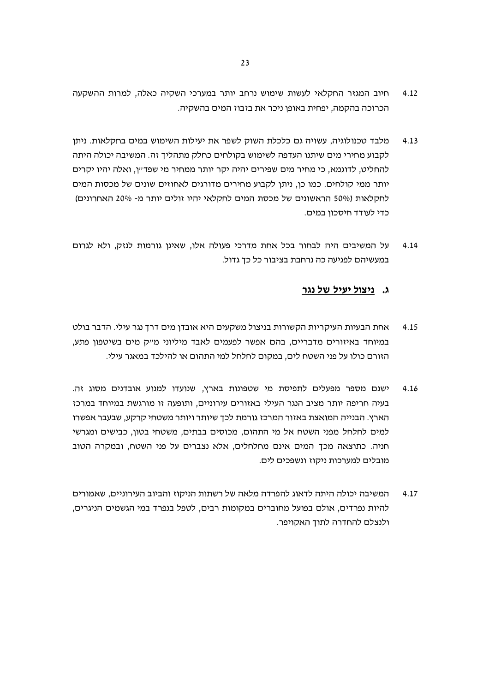- חיוב המגזר החקלאי לעשות שימוש נרחב יותר במערכי השקיה כאלה, למרות ההשקעה  $4.12$ הכרוכה בהקמה, יפחית באופן ניכר את בזבוז המים בהשקיה.
- מלבד טכנולוגיה, עשויה גם כלכלת השוק לשפר את יעילות השימוש במים בחקלאות. ניתו  $4.13$ לקבוע מחירי מים שיתנו העדפה לשימוש בקולחים כחלק מתהליך זה. המשיבה יכולה היתה להחליט, לדוגמא, כי מחיר מים שפירים יהיה יקר יותר ממחיר מי שפד״ו, ואלה יהיו יקרים יותר ממי קולחים. כמו כן, ניתן לקבוע מחירים מדורגים לאחוזים שונים של מכסות המים לחקלאות (50% הראשונים של מכסת המים לחקלאי יהיו זולים יותר מ- 20% האחרונים) כדי לעודד חיסכון במים.
- על המשיבים היה לבחור בכל אחת מדרכי פעולה אלו, שאינן גורמות לנזק, ולא לגרום 4.14 במעשיהם לפגיעה כה נרחבת בציבור כל כד גדול.

#### ג. ניצול יעיל של נגר

- אחת הבעיות העיקריות הקשורות בניצול משקעים היא אובדן מים דרך נגר עילי. הדבר בולט  $4.15$ במיוחד באיזורים מדבריים, בהם אפשר לפעמים לאבד מיליוני מייק מים בשיטפון פתע, הזורם כולו על פני השטח לים, במקום לחלחל למי התהום או להילכד במאגר עילי.
- ישנם מספר מפעלים לתפיסת מי שטפונות בארץ, שנועדו למנוע אובדנים מסוג זה. 4.16 בעיה חריפה יותר מציב הנגר העילי באזורים עירוניים, ותופעה זו מורגשת במיוחד במרכז הארץ. הבנייה המואצת באזור המרכז גורמת לכך שיותר ויותר משטחי קרקע, שבעבר אפשרו למים לחלחל מפני השטח אל מי התהום, מכוסים בבתים, משטחי בטון, כבישים ומגרשי חניה. כתוצאה מכך המים אינם מחלחלים, אלא נצברים על פני השטח, ובמקרה הטוב מובלים למערכות ניקוז ונשפכים לים.
- המשיבה יכולה היתה לדאוג להפרדה מלאה של רשתות הניקוז והביוב העירוניים, שאמורים 4.17 להיות נפרדים, אולם בפועל מחוברים במקומות רבים, לטפל בנפרד במי הגשמים הניגרים, ולנצלם להחדרה לתוך האקויפר.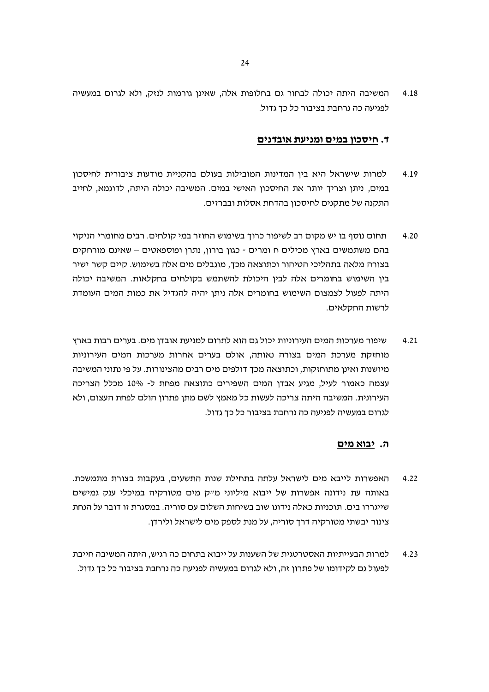המשיבה היתה יכולה לבחור גם בחלופות אלה, שאינן גורמות לנזק, ולא לגרום במעשיה 4.18 לפגיעה כה נרחבת בציבור כל כך גדול.

#### ד. חיסכון במים ומניעת אובדנים

- למרות שישראל היא בין המדינות המובילות בעולם בהקניית מודעות ציבורית לחיסכון 4.19 במים, ניתן וצריך יותר את החיסכון האישי במים. המשיבה יכולה היתה, לדוגמא, לחייב התקנה של מתקנים לחיסכון בהדחת אסלות ובברזים.
- תחום נוסף בו יש מקום רב לשיפור כרוך בשימוש החוזר במי קולחים. רבים מחומרי הניקוי  $4.20$ בהם משתמשים בארץ מכילים ח ומרים - כגון בורון, נתרן ופוספאטים – שאינם מורחקים בצורה מלאה בתהליכי הטיהור וכתוצאה מכך, מוגבלים מים אלה בשימוש. קיים קשר ישיר בין השימוש בחומרים אלה לבין היכולת להשתמש בקולחים בחקלאות. המשיבה יכולה היתה לפעול לצמצום השימוש בחומרים אלה ניתן יהיה להגדיל את כמות המים העומדת לרשות החקלאים.
- שיפור מערכות המים העירוניות יכול גם הוא לתרום למניעת אובדן מים. בערים רבות בארץ  $4.21$ מוחזקת מערכת המים בצורה נאותה, אולם בערים אחרות מערכות המים העירוניות מיושנות ואינן מתוחזקות, וכתוצאה מכך דולפים מים רבים מהצינורות. על פי נתוני המשיבה עצמה כאמור לעיל, מגיע אבדן המים השפירים כתוצאה מפחת ל- 10% מכלל הצריכה העירונית. המשיבה היתה צריכה לעשות כל מאמץ לשם מתן פתרון הולם לפחת העצום, ולא לגרום במעשיה לפגיעה כה נרחבת בציבור כל כד גדול.

#### ה. יבוא מים

- האפשרות לייבא מים לישראל עלתה בתחילת שנות התשעים, בעקבות בצורת מתמשכת.  $4.22$ באותה עת נידונה אפשרות של ייבוא מיליוני מייק מים מטורקיה במיכלי ענק גמישים שייגררו בים. תוכניות כאלה נידונו שוב בשיחות השלום עם סוריה. במסגרת זו דובר על הנחת צינור יבשתי מטורקיה דרד סוריה, על מנת לספק מים לישראל ולירדו.
- למרות הבעייתיות האסטרטגית של השענות על ייבוא בתחום כה רגיש, היתה המשיבה חייבת  $4.23$ לפעול גם לקידומו של פתרון זה, ולא לגרום במעשיה לפגיעה כה נרחבת בציבור כל כך גדול.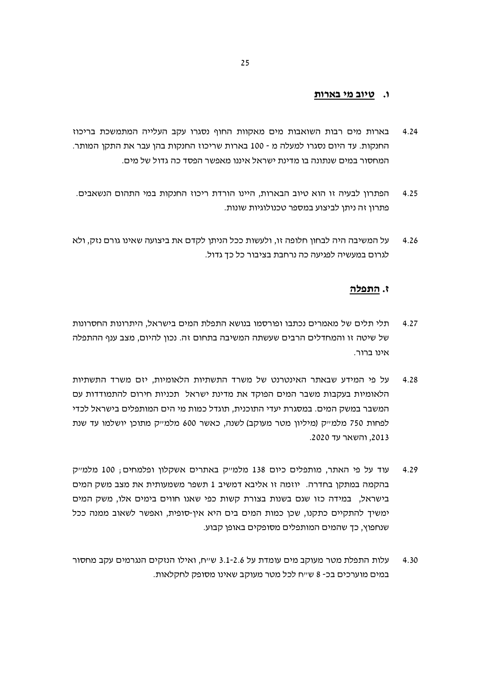#### ו. טיוב מי בארות

- בארות מים רבות השואבות מים מאקוות החוף נסגרו עקב העלייה המתמשכת בריכוז  $4.24$ החנקות. עד היום נסגרו למעלה מ - 100 בארות שריכוז החנקות בהן עבר את התקן המותר. המחסור במים שנתונה בו מדינת ישראל איננו מאפשר הפסד כה גדול של מים.
- הפתרון לבעיה זו הוא טיוב הבארות, היינו הורדת ריכוז החנקות במי התהום הנשאבים.  $4.25$ פתרון זה ניתן לביצוע במספר טכנולוגיות שונות.
- על המשיבה היה לבחון חלופה זו, ולעשות ככל הניתן לקדם את ביצועה שאינו גורם נזק, ולא  $4.26$ לגרום במעשיה לפגיעה כה נרחבת בציבור כל כך גדול.

#### ז. התפלה

- תלי תלים של מאמרים נכתבו ופורסמו בנושא התפלת המים בישראל. היתרונות החסרונות  $4.27$ של שיטה זו והמחדלים הרבים שעשתה המשיבה בתחום זה. נכון להיום, מצב ענף ההתפלה אינו ברור.
- על פי המידע שבאתר האינטרנט של משרד התשתיות הלאומיות, יזם משרד התשתיות 4.28 הלאומיות בעקבות משבר המים הפוקד את מדינת ישראל תכניות חירום להתמודדות עם המשבר במשק המים. במסגרת יעדי התוכנית, תוגדל כמות מי הים המותפלים בישראל לכדי לפחות 750 מלמייק (מיליון מטר מעוקב) לשנה, כאשר 600 מלמייק מתוכן יושלמו עד שנת 2013, והשאר עד 2020.
- עוד על פי האתר, מותפלים כיום 138 מלמייק באתרים אשקלון ופלמחים; 100 מלמייק 4.29 בהקמה במתקן בחדרה. יוזמה זו אליבא דמשיב 1 תשפר משמעותית את מצב משק המים בישראל, במידה כזו שגם בשנות בצורת קשות כפי שאנו חווים בימים אלו, משק המים ימשיך להתקיים כתקנו, שכן כמות המים בים היא אין-סופית, ואפשר לשאוב ממנה ככל שנחפוץ, כד שהמים המותפלים מסופקים באופן קבוע.
- עלות התפלת מטר מעוקב מים עומדת על 3.1-2.6 שייח, ואילו הנזקים הנגרמים עקב מחסור 4.30 במים מוערכים בכ- 8 ש״ח לכל מטר מעוקב שאינו מסופק לחקלאות.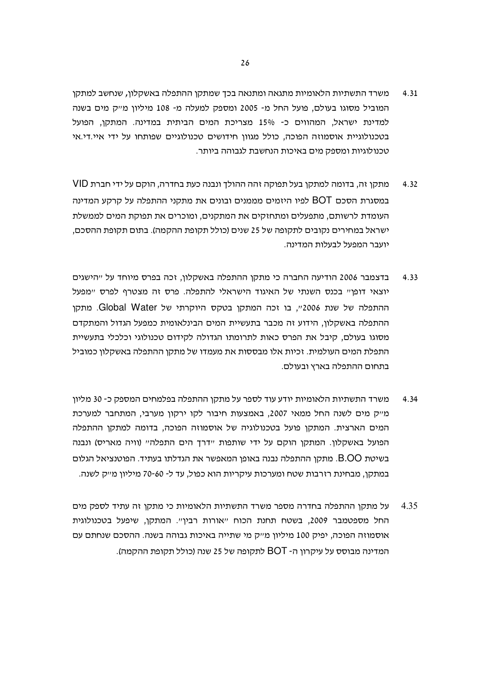- משרד התשתיות הלאומיות מתגאה ומתנאה בכך שמתקן ההתפלה באשקלון, שנחשב למתקן  $4.31$ המוביל מסוגו בעולם, פועל החל מ- 2005 ומספק למעלה מ- 108 מיליון מייק מים בשנה למדינת ישראל, המהווים כ- 15% מצריכת המים הביתית במדינה. המתקו, הפועל בטכנולוגיית אוסמוזה הפוכה, כולל מגוון חידושים טכנולוגיים שפותחו על ידי איי.די.אי טכנולוגיות ומספק מים באיכות הנחשבת לגבוהה ביותר.
- מתקן זה, בדומה למתקן בעל תפוקה זהה ההולך ונבנה כעת בחדרה, הוקם על ידי חברת VID 4.32 במסגרת הסכם BOT לפיו היזמים מממנים ובונים את מתקני ההתפלה על קרקע המדינה העומדת לרשותם, מתפעלים ומתחזקים את המתקנים, ומוכרים את תפוקת המים לממשלת ישראל במחירים נקובים לתקופה של 25 שנים (כולל תקופת ההקמה). בתום תקופת ההסכם. יועבר המפעל לבעלות המדינה.
- בדצמבר 2006 הודיעה החברה כי מתקן ההתפלה באשקלון, זכה בפרס מיוחד על ייהישגים  $4.33$ יוצאי דופן" בכנס השנתי של האיגוד הישראלי להתפלה. פרס זה מצטרף לפרס "מפעל ההתפלה של שנת 2006", בו זכה המתקן בטקס היוקרתי של Global Water. מתקן ההתפלה באשקלון, הידוע זה מכבר בתעשיית המים הבינלאומית כמפעל הגדול והמתקדם מסוגו בעולם, קיבל את הפרס כאות לתרומתו הגדולה לקידום טכנולוגי וכלכלי בתעשיית התפלת המים העולמית. זכיות אלו מבססות את מעמדו של מתקן ההתפלה באשקלון כמוביל בתחום ההתפלה בארץ ובעולם.
- משרד התשתיות הלאומיות יודע עוד לספר על מתקן ההתפלה בפלמחים המספק כ- 30 מליון  $4.34$ מייק מים לשנה החל ממאי 2007, באמצעות חיבור לקו ירקון מערבי, המתחבר למערכת המים הארצית. המתקן פועל בטכנולוגיה של אוסמוזה הפוכה, בדומה למתקן ההתפלה הפועל באשקלון. המתקן הוקם על ידי שותפות "דרך הים התפלה" (וויה מאריס) ונבנה בשיטת B.OO. מתקן ההתפלה נבנה באופן המאפשר את הגדלתו בעתיד. הפוטנציאל הגלום במתקו. מבחינת רזרבות שטח ומערכות עיקריות הוא כפול. עד ל- 60-70 מיליוו מ״ק לשנה.
- על מתקן ההתפלה בחדרה מספר משרד התשתיות הלאומיות כי מתקן זה עתיד לספק מים 4.35 החל מספטמבר 2009, בשטח תחנת הכוח "אורות רבין". המתקן, שיפעל בטכנולוגית אוסמוזה הפוכה, יפיק 100 מיליון מייק מי שתייה באיכות גבוהה בשנה. ההסכם שנחתם עם המדינה מבוסס על עיקרוו ה- BOT לתקופה של 25 שנה (כולל תקופת ההקמה).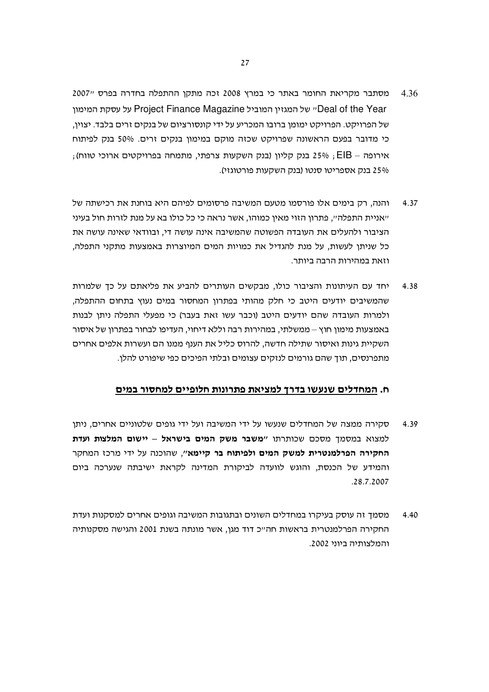- מסתבר מקריאת החומר באתר כי במרץ 2008 זכה מתקן ההתפלה בחדרה בפרס "2007 4.36 Deal of the Year ישל המגזין המוביל Project Finance Magazine על עסקת המימון של הפרויקט. הפרויקט ימומן ברובו המכריע על ידי קונסורציום של בנקים זרים בלבד. יצוין, כי מדובר בפעם הראשונה שפרויקט שכזה מוקם במימון בנקים זרים. 50% בנק לפיתוח , אירופה – EIB בנק קליון (בנק השקעות צרפתי, מתמחה בפרויקטים ארוכי טווח) 25% בנק אספריטו סנטו (בנק השקעות פורטוגזי).
- והנה, רק בימים אלו פורסמו מטעם המשיבה פרסומים לפיהם היא בוחנת את רכישתה של 4.37 ייאניית התפלהיי, פתרון הזוי מאין כמוהו, אשר נראה כי כל כולו בא על מנת לזרות חול בעיני הציבור ולהעלים את העובדה הפשוטה שהמשיבה אינה עושה די. ובוודאי שאינה עושה את כל שניתן לעשות, על מנת להגדיל את כמויות המים המיוצרות באמצעות מתקני התפלה, וזאת במהירות הרבה ביותר.
- יחד עם העיתונות והציבור כולו. מבקשים העותרים להביע את פליאתם על כד שלמרות 4.38 שהמשיבים יודעים היטב כי חלק מהותי בפתרון המחסור במים נעוץ בתחום ההתפלה, ולמרות העובדה שהם יודעים היטב (וכבר עשו זאת בעבר) כי מפעלי התפלה ניתן לבנות באמצעות מימוו חוץ – ממשלתי. במהירות רבה וללא דיחוי. העדיפו לבחור בפתרוו של איסור השקיית גינות ואיסור שתילה חדשה, להרוס כליל את הענף ממנו הם ועשרות אלפים אחרים מתפרנסים, תוך שהם גורמים לנזקים עצומים ובלתי הפיכים כפי שיפורט להלו.

#### ח. המחדלים שנעשו בדרך למציאת פתרונות חלופיים למחסור במים

- סקירה ממצה של המחדלים שנעשו על ידי המשיבה ועל ידי גופים שלטוניים אחרים, ניתו 4.39 למצוא במסמך מסכם שכותרתו "**משבר משק המים בישראל – יישום המלצות ועדת** החקירה הפרלמנטרית למשק המים ולפיתוח בר קיימא", שהוכנה על ידי מרכז המחקר והמידע של הכנסת, והוגש לוועדה לביקורת המדינה לקראת ישיבתה שנערכה ביום .28.7.2007
- מסמך זה עוסק בעיקרו במחדלים השונים ובתגובות המשיבה וגופים אחרים למסקנות ועדת 4.40 החקירה הפרלמנטרית בראשות חה״כ דוד מגן, אשר מונתה בשנת 2001 והגישה מסקנותיה והמלצותיה ביוני 2002.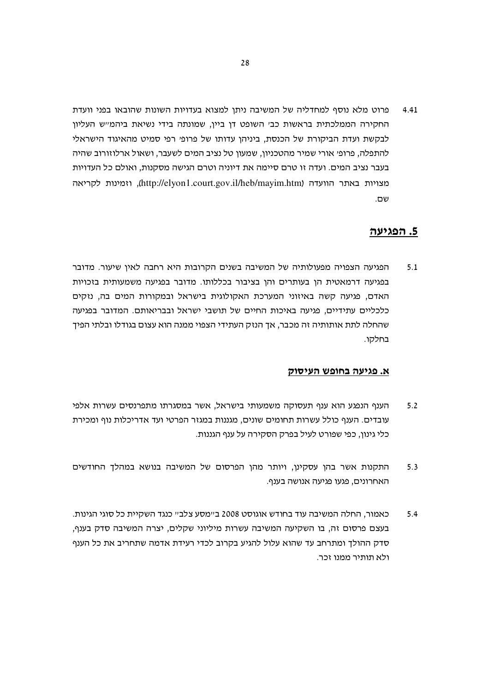פרוט מלא נוסף למחדליה של המשיבה ניתן למצוא בעדויות השונות שהובאו בפני וועדת 4.41 החקירה הממלכתית בראשות כבי השופט דן ביין, שמונתה בידי נשיאת ביהמייש העליון לבקשת ועדת הביקורת של הכנסת, ביניהן עדותו של פרופי רפי סמיט מהאיגוד הישראלי להתפלה, פרופ׳ אורי שמיר מהטכניון, שמעון טל נציב המים לשעבר, ושאול ארלוזורוב שהיה בעבר נציב המים. ועדה זו טרם סיימה את דיוניה וטרם הגישה מסקנות, ואולם כל העדויות מצויות באתר הוועדה (http://elyon1.court.gov.il/heb/mayim.htm), וזמינות לקריאה שם.

# 5. הפגיעה

הפגיעה הצפויה מפעולותיה של המשיבה בשנים הקרובות היא רחבה לאין שיעור. מדובר  $5.1$ בפגיעה דרמאטית הן בעותרים והן בציבור בכללותו. מדובר בפגיעה משמעותית בזכויות האדם, פגיעה קשה באיזוני המערכת האקולוגית בישראל ובמקורות המים בה, נזקים כלכליים עתידיים, פגיעה באיכות החיים של תושבי ישראל ובבריאותם. המדובר בפגיעה שהחלה לתת אותותיה זה מכבר, אך הנזק העתידי הצפוי ממנה הוא עצום בגודלו ובלתי הפיד בחלקו.

#### א. פגיעה בחופש העיסוק

- הענף הנפגע הוא ענף תעסוקה משמעותי בישראל, אשר במסגרתו מתפרנסים עשרות אלפי  $5.2$ עובדים. הענף כולל עשרות תחומים שונים, מגננות במגזר הפרטי ועד אדריכלות נוף ומכירת כלי גינון, כפי שפורט לעיל בפרק הסקירה על ענף הגננות.
- התקנות אשר בהן עסקינן, ויותר מהן הפרסום של המשיבה בנושא במהלך החודשים  $5.3$ האחרונים, פגעו פגיעה אנושה בענף.
- כאמור, החלה המשיבה עוד בחודש אוגוסט 2008 ב״מסע צלב״ כנגד השקיית כל סוגי הגינות.  $5.4$ בעצם פרסום זה. בו השקיעה המשיבה עשרות מיליוני שקלים. יצרה המשיבה סדק בענף. סדק ההולך ומתרחב עד שהוא עלול להגיע בקרוב לכדי רעידת אדמה שתחריב את כל הענף ולא תותיר ממנו זכר.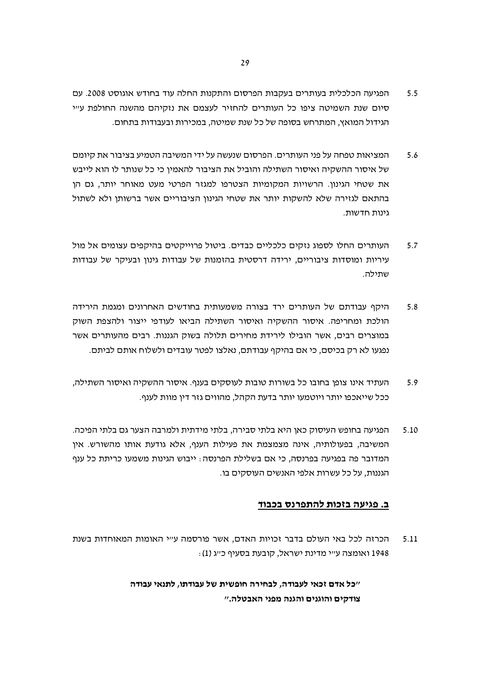- הפגיעה הכלכלית בעותרים בעקבות הפרסום והתקנות החלה עוד בחודש אוגוסט 2008. עם  $5.5$ סיום שנת השמיטה ציפו כל העותרים להחזיר לעצמם את נזקיהם מהשנה החולפת ע״י הגידול המואץ, המתרחש בסופה של כל שנת שמיטה, במכירות ובעבודות בתחום.
- המציאות טפחה על פני העותרים. הפרסום שנעשה על ידי המשיבה הטמיע בציבור את קיומם 5.6 של איסור ההשקיה ואיסור השתילה והוביל את הציבור להאמין כי כל שנותר לו הוא לייבש את שטחי הגינון. הרשויות המקומיות הצטרפו למגזר הפרטי מעט מאוחר יותר, גם הן בהתאם לגזירה שלא להשקות יותר את שטחי הגינון הציבוריים אשר ברשותן ולא לשתול גינות חדשות.
- העותרים החלו לספוג נזקים כלכליים כבדים. ביטול פרוייקטים בהיקפים עצומים אל מול  $5.7$ עיריות ומוסדות ציבוריים, ירידה דרסטית בהזמנות של עבודות גינון ובעיקר של עבודות שתילה.
- היקף עבודתם של העותרים ירד בצורה משמעותית בחודשים האחרונים ומגמת הירידה 5.8 הולכת ומחריפה. איסור ההשקיה ואיסור השתילה הביאו לעודפי ייצור ולהצפת השוק במוצרים רבים, אשר הובילו לירידת מחירים תלולה בשוק הגננות. רבים מהעותרים אשר נפגעו לא רק בכיסם, כי אם בהיקף עבודתם, נאלצו לפטר עובדים ולשלוח אותם לביתם.
- העתיד אינו צופן בחובו כל בשורות טובות לעוסקים בענף. איסור ההשקיה ואיסור השתילה, 5.9 ככל שייאכפו יותר ויוטמעו יותר בדעת הקהל, מהווים גזר דין מוות לענף.
- הפגיעה בחופש העיסוק כאן היא בלתי סבירה, בלתי מידתית ולמרבה הצער גם בלתי הפיכה.  $5.10$ המשיבה, בפעולותיה, אינה מצמצמת את פעילות הענף, אלא גודעת אותו מהשורש. אין המדובר פה בפגיעה בפרנסה, כי אם בשלילת הפרנסה: ייבוש הגינות משמעו כריתת כל ענף הגננות. על כל עשרות אלפי האנשים העוסקים בו.

#### ב. פגיעה בזכות להתפרנס בכבוד

הכרזה לכל באי העולם בדבר זכויות האדם, אשר פורסמה ע״י האומות המאוחדות בשנת  $5.11$ 1948 ואומצה ע״י מדינת ישראל, קובעת בסעיף כ״ג (1):

> ״כל אדם זכאי לעבודה, לבחירה חופשית של עבודתו, לתנאי עבודה צודקים והוגנים והגנה מפני האבטלה."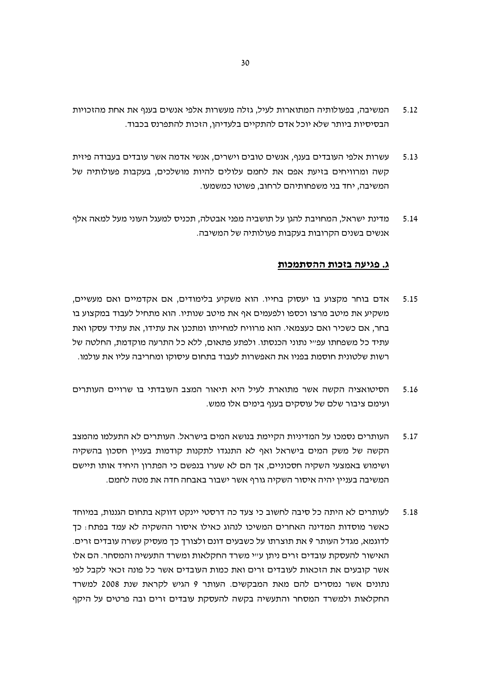- המשיבה, בפעולותיה המתוארות לעיל, גזלה מעשרות אלפי אנשים בענף את אחת מהזכויות  $5.12$ הבסיסיות ביותר שלא יוכל אדם להתקיים בלעדיהן, הזכות להתפרנס בכבוד.
- עשרות אלפי העובדים בענף, אנשים טובים וישרים, אנשי אדמה אשר עובדים בעבודה פיזית  $5.13$ קשה ומרוויחים בזיעת אפם את לחמם עלולים להיות מושלכים, בעקבות פעולותיה של המשיבה. יחד בני משפחותיהם לרחוב. פשוטו כמשמעו.
- מדינת ישראל, המחויבת להגן על תושביה מפני אבטלה, תכניס למעגל העוני מעל למאה אלף 5.14 אנשים בשנים הקרובות בעקבות פעולותיה של המשיבה.

#### ג. פגיעה בזכות ההסתמכות

- אדם בוחר מקצוע בו יעסוק בחייו. הוא משקיע בלימודים, אם אקדמיים ואם מעשיים, 5.15 משקיע את מיטב מרצו וכספו ולפעמים אף את מיטב שנותיו. הוא מתחיל לעבוד במקצוע בו בחר, אם כשכיר ואם כעצמאי. הוא מרוויח למחייתו ומתכנן את עתידו, את עתיד עסקו ואת עתיד כל משפחתו עפ״י נתוני הכנסתו. ולפתע פתאום, ללא כל התרעה מוקדמת, החלטה של רשות שלטונית חוסמת בפניו את האפשרות לעבוד בתחום עיסוקו ומחריבה עליו את עולמו.
- הסיטואציה הקשה אשר מתוארת לעיל היא תיאור המצב העובדתי בו שרויים העותרים 5.16 ועימם ציבור שלם של עוסקים בענף בימים אלו ממש.
- העותרים נסמכו על המדיניות הקיימת בנושא המים בישראל. העותרים לא התעלמו מהמצב  $5.17$ הקשה של משק המים בישראל ואף לא התנגדו לתקנות קודמות בעניין חסכון בהשקיה ושימוש באמצעי השקיה חסכוניים, אך הם לא שערו בנפשם כי הפתרון היחיד אותו תיישם המשיבה בעניין יהיה איסור השקיה גורף אשר ישבור באבחה חדה את מטה לחמם.
- לעותרים לא היתה כל סיבה לחשוב כי צעד כה דרסטי יינקט דווקא בתחום הגננות, במיוחד 5.18 כאשר מוסדות המדינה האחרים המשיכו לנהוג כאילו איסור ההשקיה לא עמד בפתח: כך לדוגמא, מגדל העותר 9 את תוצרתו על כשבעים דונם ולצורך כך מעסיק עשרה עובדים זרים. האישור להעסקת עובדים זרים ניתו ע״י משרד החקלאות ומשרד התעשיה והמסחר. הם אלו אשר קובעים את הזכאות לעובדים זרים ואת כמות העובדים אשר כל פונה זכאי לקבל לפי נתונים אשר נמסרים להם מאת המבקשים. העותר 9 הגיש לקראת שנת 2008 למשרד החקלאות ולמשרד המסחר והתעשיה בקשה להעסקת עובדים זרים ובה פרטים על היקף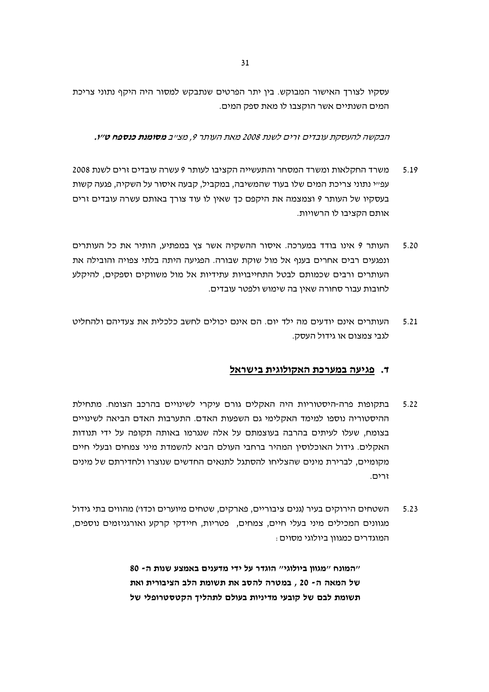עסקיו לצורך האישור המבוקש. בין יתר הפרטים שנתבקש למסור היה היקף נתוני צריכת המים השנתיים אשר הוקצבו לו מאת ספק המים.

הבקשה להעסקת עובדים זרים לשנת 2008 מאת העותר 9, מצ״ב **מסומנת כנספח ט״ו.** 

- משרד החקלאות ומשרד המסחר והתעשייה הקציבו לעותר 9 עשרה עובדים זרים לשנת 2008 5.19 עפ״י נתוני צריכת המים שלו בעוד שהמשיבה, במקביל, קבעה איסור על השקיה, פגעה קשות בעסקיו של העותר 9 וצמצמה את היקפם כך שאין לו עוד צורך באותם עשרה עובדים זרים אותם הקציבו לו הרשויות.
- העותר 9 אינו בודד במערכה. איסור ההשקיה אשר צץ במפתיע, הותיר את כל העותרים  $5.20$ ונפגעים רבים אחרים בענף אל מול שוקת שבורה. הפגיעה היתה בלתי צפויה והובילה את העותרים ורבים שכמותם לבטל התחייבויות עתידיות אל מול משווקים וספקים, להיקלע לחובות עבור סחורה שאין בה שימוש ולפטר עובדים.
- העותרים אינם יודעים מה ילד יום. הם אינם יכולים לחשב כלכלית את צעדיהם ולהחליט  $5.21$ לגבי צמצום או גידול העסק.

# ד. פגיעה במערכת האקולוגית בישראל

- בתקופות פרה-היסטוריות היה האקלים גורם עיקרי לשינויים בהרכב הצומח. מתחילת  $5.22$ ההיסטוריה נוספו למימד האקלימי גם השפעות האדם. התערבות האדם הביאה לשינויים בצומח, שעלו לעיתים בהרבה בעוצמתם על אלה שנגרמו באותה תקופה על ידי תנודות האקלים. גידול האוכלוסין המהיר ברחבי העולם הביא להשמדת מיני צמחים ובעלי חיים מקומיים, לברירת מינים שהצליחו להסתגל לתנאים החדשים שנוצרו ולחדירתם של מינים זרים.
- השטחים הירוקים בעיר (גנים ציבוריים. פארקים. שטחים מיוערים וכדו׳) מהווים בתי גידול  $5.23$ מגוונים המכילים מיני בעלי חיים, צמחים, פטריות, חיידקי קרקע ואורגניזמים נוספים, המוגדרים כמגווו ביולוגי מסוים :

"המונח "מגווו ביולוגי" הוגדר על ידי מדענים באמצע שנות ה- 80 של המאה ה- 20 , במטרה להסב את תשומת הלב הציבורית ואת תשומת לבם של קובעי מדיניות בעולם לתהליך הקטסטרופלי של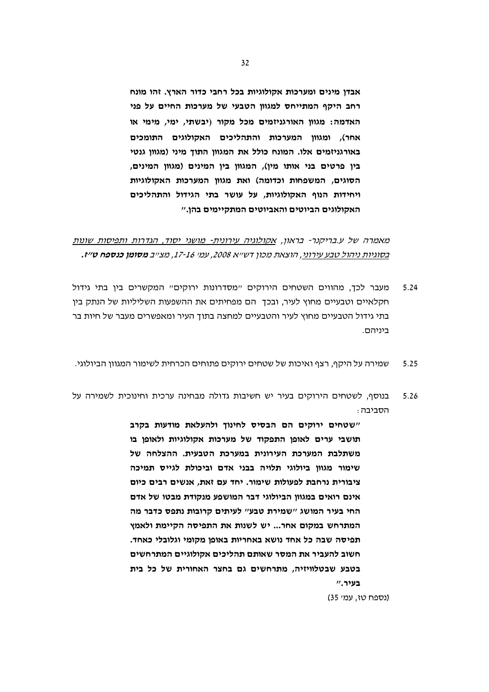אבדן מינים ומערכות אקולוגיות בכל רחבי כדור הארץ. זהו מונח רחב היקף המתייחס למגוון הטבעי של מערכות החיים על פני האדמה: מגוון האורגניזמים מכל מקור (יבשתי, ימי, מימי או אחר), ומגוון המערכות והתהליכים האקולוגים התומכים באורגניזמים אלו. המונח כולל את המגוון התוך מיני (מגוון גנטי בין פרטים בני אותו מין), המגוון בין המינים (מגוון המינים, הסוגים, המשפחות וכדומה) ואת מגוון המערכות האקולוגיות ויחידות הנוף האקולוגיות, על עושר בתי הגידול והתהליכים האקולוגים הביוטים והאביוטים המתקיימים בהן."

מאמרה של ע.בריקנר- בראון, אקולוגיה עירונית- מושגי יסוד, הגדרות ותפיסות שונות בסוגיות ניהול טבע עירוני, הוצאת מכון דשייא 2008, עמי 16-17, מצייב **מסומן כנספח ט׳יז.** 

- מעבר לכך, מהווים השטחים הירוקים "מסדרונות ירוקים" המקשרים בין בתי גידול  $5.24$ חקלאיים וטבעיים מחוץ לעיר. ובכד. הם מפחיתים את ההשפעות השליליות של הנתק ביו בתי גידול הטבעיים מחוץ לעיר והטבעיים למחצה בתוך העיר ומאפשרים מעבר של חיות בר ריויהם
- שמירה על היקף, רצף ואיכות של שטחים ירוקים פתוחים הכרחית לשימור המגוון הביולוגי. 5.25
- בנוסף. לשטחים הירוקים בעיר יש חשיבות גדולה מבחינה ערכית וחינוכית לשמירה על 5.26 הסביבה:

"שטחים ירוקים הם הבסיס לחינוך ולהעלאת מודעות בקרב תושבי ערים לאופו התפקוד של מערכות אקולוגיות ולאופו בו משתלבת המערכת העירונית במערכת הטבעית. ההצלחה של שימור מגוון ביולוגי תלויה בבני אדם וביכולת לגייס תמיכה ציבורית נרחבת לפעולות שימור. יחד עם זאת, אנשים רבים כיום אינם רואים במגוון הביולוגי דבר המושפע מנקודת מבטו של אדם החי בעיר המושג "שמירת טבע" לעיתים קרובות נתפס כדבר מה המתרחש במקום אחר... יש לשנות את התפיסה הקיימת ולאמץ תפיסה שבה כל אחד נושא באחריות באופן מקומי וגלובלי כאחד. חשוב להעביר את המסר שאותם תהליכים אקולוגיים המתרחשים בטבע שבטלוויזיה, מתרחשים גם בחצר האחורית של כל בית בעיר."

(נספח טז, עמי 35)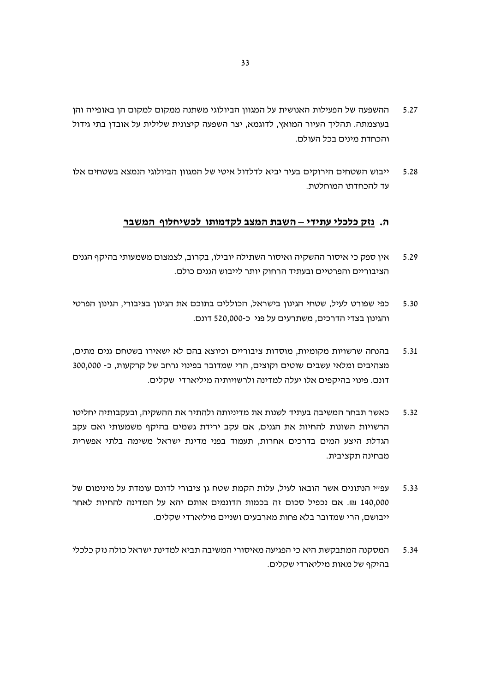- ההשפעה של הפעילות האנושית על המגוון הביולוגי משתנה ממקום למקום הן באופייה והן 5.27 בעוצמתה. תהליך העיור המואץ, לדוגמא, יצר השפעה קיצונית שלילית על אובדן בתי גידול והכחדת מינים בכל העולם.
- ייבוש השטחים הירוקים בעיר יביא לדלדול איטי של המגוון הביולוגי הנמצא בשטחים אלו 5.28 עד להכחדתו המוחלטת.

# ה. נזק כלכלי עתידי – השבת המצב לקדמותו לכשיחלוף המשבר

- אין ספק כי איסור ההשקיה ואיסור השתילה יובילו, בקרוב, לצמצום משמעותי בהיקף הגנים 5.29 הציבוריים והפרטיים ובעתיד הרחוק יותר לייבוש הגנים כולם.
- כפי שפורט לעיל. שטחי הגינון בישראל, הכוללים בתוכם את הגינון בציבורי, הגינון הפרטי 5.30 והגינון בצדי הדרכים, משתרעים על פני כ-520,000 דונם.
- בהנחה שרשויות מקומיות, מוסדות ציבוריים וכיוצא בהם לא ישאירו בשטחם גנים מתים,  $5.31$ מצהיבים ומלאי עשבים שוטים וקוצים, הרי שמדובר בפינוי נרחב של קרקעות, כ- 300,000 דונם. פינוי בהיקפים אלו יעלה למדינה ולרשויותיה מיליארדי שקלים.
- כאשר תבחר המשיבה בעתיד לשנות את מדיניותה ולהתיר את ההשקיה, ובעקבותיה יחליטו 5.32 הרשויות השונות להחיות את הגנים, אם עקב ירידת גשמים בהיקף משמעותי ואם עקב הגדלת היצע המים בדרכים אחרות, תעמוד בפני מדינת ישראל משימה בלתי אפשרית מבחינה תקציבית.
- עפייי הנתונים אשר הובאו לעיל, עלות הקמת שטח גן ציבורי לדונם עומדת על מינימום של 5.33 140,000 ₪. אם נכפיל סכום זה בכמות הדונמים אותם יהא על המדינה להחיות לאחר ייבושם, הרי שמדובר בלא פחות מארבעים ושניים מיליארדי שקלים.
- המסקנה המתבקשת היא כי הפגיעה מאיסורי המשיבה תביא למדינת ישראל כולה נזק כלכלי 5.34 בהיקף של מאות מיליארדי שקלים.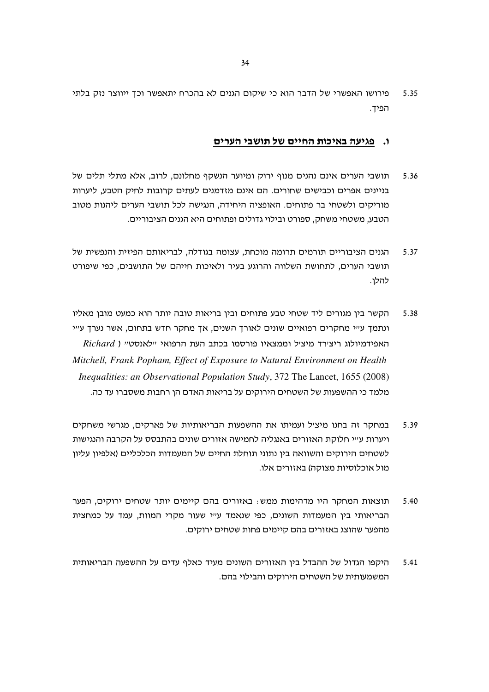פירושו האפשרי של הדבר הוא כי שיקום הגנים לא בהכרח יתאפשר וכך ייווצר נזק בלתי 5.35 הפיד.

# ו. פגיעה באיכו<u>ת החיים של תושבי הערים</u>

- תושבי הערים אינם נהנים מנוף ירוק ומיוער הנשקף מחלונם. לרוב. אלא מתלי תלים של 5.36 בניינים אפרים וכבישים שחורים. הם אינם מזדמנים לעתים קרובות לחיק הטבע, ליערות מוריקים ולשטחי בר פתוחים. האופציה היחידה, הנגישה לכל תושבי הערים ליהנות מטוב הטבע, משטחי משחק, ספורט ובילוי גדולים ופתוחים היא הגנים הציבוריים.
- הגנים הציבוריים תורמים תרומה מוכחת. עצומה בגודלה. לבריאותם הפיזית והנפשית של 5.37 תושבי הערים, לתחושת השלווה והרוגע בעיר ולאיכות חייהם של התושבים, כפי שיפורט להלן.
- הקשר בין מגורים ליד שטחי טבע פתוחים ובין בריאות טובה יותר הוא כמעט מובן מאליו 5.38 ונתמד עייי מחקרים רפואיים שונים לאורך השנים, אך מחקר חדש בתחום, אשר נערך עייי Richard ) האפידמיולוג ריצירד מיציל וממצאיו פורסמו בכתב העת הרפואי יילאנסטיי Mitchell, Frank Popham, Effect of Exposure to Natural Environment on Health *Inequalities: an Observational Population Study, 372 The Lancet, 1655 (2008)* מלמד כי ההשפעות של השטחים הירוקים על בריאות האדם הו רחבות משסברו עד כה.
- במחקר זה בחנו מיציל ועמיתו את ההשפעות הבריאותיות של פארקים, מגרשי משחקים 5.39 ויערות ע״י חלוקת האזורים באנגליה לחמישה אזורים שונים בהתבסס על הקרבה והנגישות לשטחים הירוקים והשוואה בין נתוני תוחלת החיים של המעמדות הכלכליים (אלפיון עליון מול אוכלוסיות מצוקה) באזורים אלו.
- תוצאות המחקר היו מדהימות ממש: באזורים בהם קיימים יותר שטחים ירוקים, הפער 5.40 הבריאותי בין המעמדות השונים, כפי שנאמד ע״י שעור מקרי המוות, עמד על כמחצית מהפער שהוצג באזורים בהם קיימים פחות שטחים ירוקים.
- היקפו הגדול של ההבדל בין האזורים השונים מעיד כאלף עדים על ההשפעה הבריאותית 5.41 המשמעותית של השטחים הירוקים והבילוי בהם.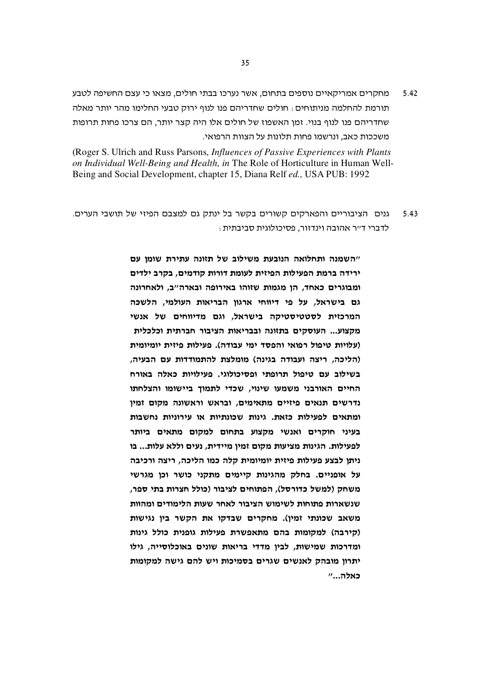5.42 – מחקרים אמריקאיים נוספים בתחום, אשר נערכו בבתי חולים, מצאו כי עצם החשיפה לטבע תורמת להחלמה מניתוחים : חולים שחדריהם פנו לנוף ירוק טבעי החלימו מהר יותר מאלה שחדריהם פנו לנוף בנוי. זמן האשפוז של חולים אלו היה קצר יותר, הם צרכו פחות תרופות משככות כאב, ונרשמו פחות תלונות על הצוות הרפואי.

(Roger S. Ulrich and Russ Parsons*, Influences of Passive Experiences with Plants on Individual Well-Being and Health, in* The Role of Horticulture in Human Well-Being and Social Development, chapter 15, Diana Relf *ed.,* USA PUB: 1992

5.43 גנים הציבוריים והפארקים קשורים בקשר בל ינתק גם למצבם הפיזי של תושבי הערים. לדברי ד״ר אהובה וינדזור, פסיכולוגית סביבתית <del>.</del>

> השמנה ותחלואה הנובעת משילוב של תזונה עתירת שומן עם" ירידה ברמת הפעילות הפיזית לעומת דורות קודמים, בקרב ילדים ומבוגרים כאחד, הן מגמות שזוהו באירופה ובארה"ב, ולאחרונה גם בישראל, על פי דיווחי ארגון הבריאות העולמי, הלשכה המרכזית לסטטיסטיקה בישראל, וגם מדיווחים של אנשי מקצוע... העוסקים בתזונה ובבריאות הציבור חברתית וכלכלית (עלויות טיפול רפואי והפסד ימי עבודה). פעילות פיזית יומיומית (הליכה, ריצה ועבודה בגינה) מומלצת להתמודדות עם הבעיה, בשילוב עם טיפול תרופתי ופסיכולוגי. פעילויות כאלה באורח החיים האורבני משמעו שינוי, שכדי לתמוך ביישומו והצלחתו נדרשים תנאים פיזיים מתאימים, ובראש וראשונה מקום זמין ומתאים לפעילות כזאת. גינות שכונתיות או עירוניות נחשבות בעיני חוקרים ואנשי מקצוע בתחום למקום מתאים ביותר לפעילות. הגינות מציעות מקום זמין מיידית, נעים וללא עלות... בו ניתן לבצע פעילות פיזית יומיומית קלה כמו הליכה, ריצה ורכיבה על אופניים. בחלק מהגינות קיימים מתקני כושר וכן מגרשי משחק (למשל כדורסל), הפתוחים לציבור (כולל חצרות בתי ספר, שנשארות פתוחות לשימוש הציבור לאחר שעות הלימודים ומהוות משאב שכונתי זמין). מחקרים שבדקו את הקשר בין נגישות (קירבה) למקומות בהם מתאפשרת פעילות גופנית כולל גינות ומדרכות שמישות, לבין מדדי בריאות שונים באוכלוסייה, גילו יתרון מובהק לאנשים שגרים בסמיכות ויש להם גישה למקומות "...הלא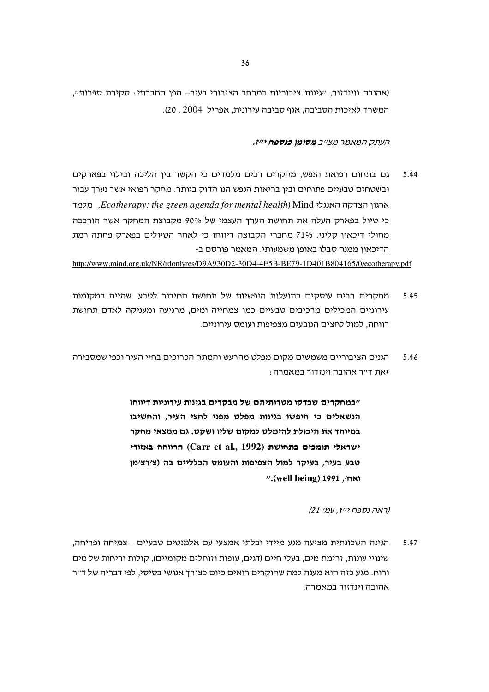(אהובה ווינדזור, "גינות ציבוריות במרחב הציבורי בעיר– הפן החברתי: סקירת ספרות", המשרד לאיכות הסביבה, אגף סביבה עירונית, אפריל 2004, 20).

העתק המאמר מצייב **מסומו כנספח יייז.** 

גם בתחום רפואת הנפש, מחקרים רבים מלמדים כי הקשר בין הליכה ובילוי בפארקים 5.44 ובשטחים טבעיים פתוחים ובין בריאות הנפש הנו הדוק ביותר. מחקר רפואי אשר נערך עבור ם. בולמד Ecotherapy: the green agenda for mental health) Mind ארגון הצדקה האנגלי כי טיול בפארק העלה את תחושת הערך העצמי של 90% מקבוצת המחקר אשר הורכבה מחולי דיכאון קליני. 71% מחברי הקבוצה דיווחו כי לאחר הטיולים בפארק פחתה רמת הדיכאון ממנה סבלו באופן משמעותי. המאמר פורסם ב-

http://www.mind.org.uk/NR/rdonlyres/D9A930D2-30D4-4E5B-BE79-1D401B804165/0/ecotherapy.pdf

- מחקרים רבים עוסקים בתועלות הנפשיות של תחושת החיבור לטבע. שהייה במקומות 5.45 עירוניים המכילים מרכיבים טבעיים כמו צמחייה ומים, מרגיעה ומעניקה לאדם תחושת רווחה, למול לחצים הנובעים מצפיפות ועומס עירוניים.
- הגנים הציבוריים משמשים מקום מפלט מהרעש והמתח הכרוכים בחיי העיר וכפי שמסבירה 5.46 זאת ד״ר אהובה וינזדור במאמרה <del>.</del>

"במחקרים שבדקו מטרותיהם של מבקרים בגינות עירוניות דיווחו הנשאלים כי חיפשו בגינות מפלט מפני לחצי העיר, והחשיבו במיוחד את היכולת להימלט למקום שליו ושקט. גם ממצאי מחקר ישראלי תומכים בתחושת (Carr et al., 1992) הרווחה באזורי טבע בעיר, בעיקר למול הצפיפות והעומס הכלליים בה (צ׳רצ׳מו ".(well being) 1991, "

(ראה נספח יייז, עמי 21)

הגינה השכונתית מציעה מגע מיידי ובלתי אמצעי עם אלמנטים טבעיים - צמיחה ופריחה, 5.47 שינויי עונות, זרימת מים, בעלי חיים (דגים, עופות וזוחלים מקומיים), קולות וריחות של מים ורוח. מגע כזה הוא מענה למה שחוקרים רואים כיום כצורד אנושי בסיסי, לפי דבריה של ד״ר אהובה וינדזור במאמרה.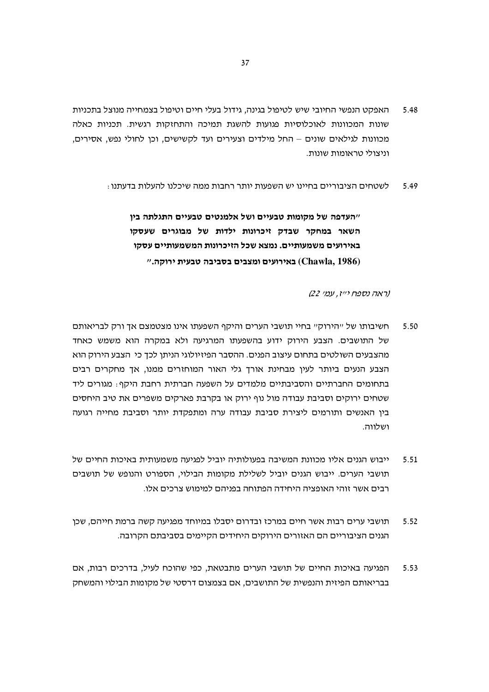- האפקט הנפשי החיובי שיש לטיפול בגינה, גידול בעלי חיים וטיפול בצמחייה מנוצל בתכניות 5.48 שונות המכוונות לאוכלוסיות פגועות להשגת תמיכה והתחזקות רגשית. תכניות כאלה מכוונות לגילאים שונים – החל מילדים וצעירים ועד לקשישים, וכן לחולי נפש, אסירים, וניצולי טראומות שונות.
	- לשטחים הציבוריים בחיינו יש השפעות יותר רחבות ממה שיכלנו להעלות בדעתנו : 5.49

"העדפה של מקומות טבעיים ושל אלמנטים טבעיים התגלתה בין השאר במחקר שבדק זיכרונות ילדות של מבוגרים שעסקו באירועים משמעותיים. נמצא שכל הזיכרונות המשמעותיים עסקו ואירועים ומצבים בסביבה טבעית ירוקה."

(ראה נספח יייז, עמי 22)

- חשיבותו של ייהירוקיי בחיי תושבי הערים והיקף השפעתו אינו מצטמצם אך ורק לבריאותם 5.50 של התושבים. הצבע הירוק ידוע בהשפעתו המרגיעה ולא במקרה הוא משמש כאחד מהצבעים השולטים בתחום עיצוב הפנים. ההסבר הפיזיולוגי הניתן לכך כי הצבע הירוק הוא הצבע הנעים ביותר לעין מבחינת אורך גלי האור המוחזרים ממנו, אך מחקרים רבים בתחומים החברתיים והסביבתיים מלמדים על השפעה חברתית רחבת היקף: מגורים ליד שטחים ירוקים וסביבת עבודה מול נוף ירוק או בקרבת פארקים משפרים את טיב היחסים בין האנשים ותורמים ליצירת סביבת עבודה ערה ומתפקדת יותר וסביבת מחייה רגועה ושלווה.
- ייבוש הגנים אליו מכוונת המשיבה בפעולותיה יוביל לפגיעה משמעותית באיכות החיים של 5.51 תושבי הערים. ייבוש הגנים יוביל לשלילת מקומות הבילוי, הספורט והנופש של תושבים רבים אשר זוהי האופציה היחידה הפתוחה בפניהם למימוש צרכים אלו.
- תושבי ערים רבות אשר חיים במרכז ובדרום יסבלו במיוחד מפגיעה קשה ברמת חייהם, שכן 5.52 הגנים הציבוריים הם האזורים הירוקים היחידים הקיימים בסביבתם הקרובה.
- הפגיעה באיכות החיים של תושבי הערים מתבטאת, כפי שהוכח לעיל, בדרכים רבות, אם 5.53 בבריאותם הפיזית והנפשית של התושבים, אם בצמצום דרסטי של מקומות הבילוי והמשחק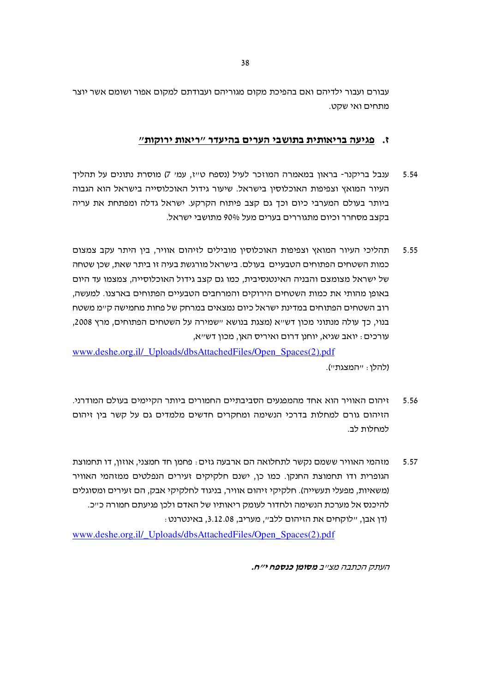עבורם ועבור ילדיהם ואם בהפיכת מקום מגוריהם ועבודתם למקום אפור ושומם אשר יוצר מתחים ואי שקט.

# ז. פגיעה בריאותית בתושבי הערים בהיעדר "ריאות ירוקות"

- ענבל בריקנר- בראון במאמרה המוזכר לעיל (נספח ט״ז, עמ׳ 7) מוסרת נתונים על תהליך 5.54 העיור המואץ וצפיפות האוכלוסין בישראל. שיעור גידול האוכלוסייה בישראל הוא הגבוה ביותר בעולם המערבי כיום וכך גם קצב פיתוח הקרקע. ישראל גדלה ומפתחת את עריה בקצב מסחרר וכיום מתגוררים בערים מעל 90% מתושבי ישראל.
- תהליכי העיור המואץ וצפיפות האוכלוסין מובילים לזיהום אוויר, בין היתר עקב צמצום 5.55 כמות השטחים הפתוחים הטבעיים בעולם. בישראל מורגשת בעיה זו ביתר שאת, שכן שטחה של ישראל מצומצם והבניה האינטנסיבית, כמו גם קצב גידול האוכלוסייה, צמצמו עד היום באופו מהותי את כמות השטחים הירוקים והמרחבים הטבעיים הפתוחים בארצנו. למעשה, רוב השטחים הפתוחים במדינת ישראל כיום נמצאים במרחק של פחות מחמישה ק״מ משטח בנוי, כך עולה מנתוני מכון דש״א (מצגת בנושא ״שמירה על השטחים הפתוחים, מרץ 2008, עורכים: יואב שגיא, יוחנן דרום ואיריס האן, מכון דש״א,

www.deshe.org.il/ Uploads/dbsAttachedFiles/Open Spaces(2).pdf (להלו: "המצגת").

- זיהום האוויר הוא אחד מהמפגעים הסביבתיים החמורים ביותר הקיימים בעולם המודרני. 5.56 הזיהום גורם למחלות בדרכי הנשימה ומחקרים חדשים מלמדים גם על קשר בין זיהום למחלות לב.
- מזהמי האוויר ששמם נקשר לתחלואה הם ארבעה גזים : פחמן חד חמצני, אוזון, דו תחמוצת 5.57 הגופרית ודו תחמוצת החנקו. כמו כן, ישנם חלקיקים זעירים הנפלטים ממזהמי האוויר (משאיות, מפעלי תעשייה). חלקיקי זיהום אוויר, בניגוד לחלקיקי אבק, הם זעירים ומסוגלים להיכנס אל מערכת הנשימה ולחדור לעומק ריאותיו של האדם ולכן פגיעתם חמורה כ״כ. (דו אבו. "לוקחים את הזיהום ללב". מעריב. 3.12.08. באינטרנט

www.deshe.org.il/ Uploads/dbsAttachedFiles/Open Spaces(2).pdf

העתק הכתבה מצ״ב **מסומן כנספח י״ח.**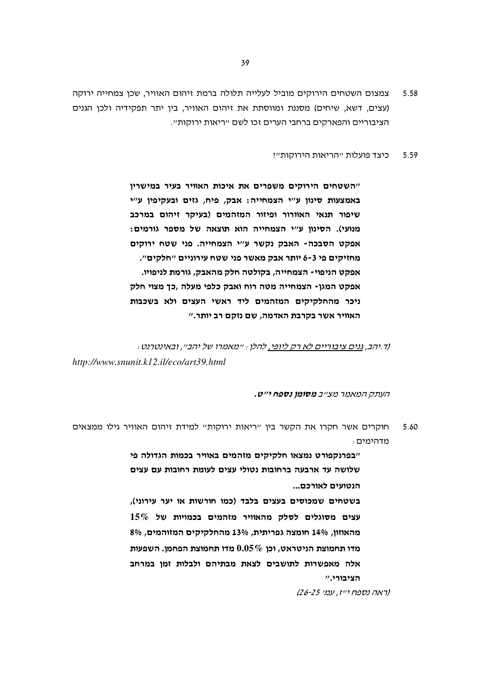- צמצום השטחים הירוקים מוביל לעלייה תלולה ברמת זיהום האוויר, שכן צמחייה ירוקה 5.58 (עצים, דשא, שיחים) מסננת ומווסתת את זיהום האוויר, בין יתר תפקידיה ולכן הגנים הציבוריים והפארקים ברחבי הערים זכו לשם ״ריאות ירוקות״.
	- כיצד פועלות "הריאות הירוקות"? 5.59

"השטחים הירוקים משפרים את איכות האוויר בעיר במישריו באמצעות סינון ע"י הצמחייה: אבק, פיח, גזים ובעקיפין ע"י שיפור תנאי האוורור ופיזור המזהמים (בעיקר זיהום במרכב מנועי). הסינון ע"י הצמחייה הוא תוצאה של מספר גורמים: אפקט הסבכה- האבק נקשר ע"י הצמחייה. פני שטח ירוקים מחזיקים פי 3-6 יותר אבק מאשר פני שטח עירוניים ״חלקים״. אפקט הניפוי- הצמחייה, בקולטה חלק מהאבק, גורמת לניפויו. אפקט המגן- הצמחייה מטה רוח ואבק כלפי מעלה ,כך מצוי חלק ניכר מהחלקיקים המזהמים ליד ראשי העצים ולא בשכבות האוויר אשר בקרבת האדמה, שם נזקם רב יותר."

וד.יהב, גנים ציבוריים לא רק ליופי, להלן : ״מאמרו של יהב״, ובאינטרנט : http://www.snunit.k12.il/eco/art39.html

העתק המאמר מצ״ב **מסומן נספח י״ט.** 

חוקרים אשר חקרו את הקשר ביו "ריאות ירוקות" למידת זיהום האוויר גילו ממצאים 5.60 מדהימים:

> "בפרנקפורט נמצאו חלקיקים מזהמים באוויר בכמות הגדולה פי שלושה עד ארבעה ברחובות נטולי עצים לעומת רחובות עם עצים הנטועים לאורכם...

> בשטחים שמכוסים בעצים בלבד (כמו חורשות או יער עירוני),  $15\%$  עצים מסוגלים לסלק מהאוויר מזהמים בכמויות של מהאוזון, 14% חומצה גפריתית, 13% מהחלקיקים המזוהמים, 8% מדו תחמוצת הניטראט, וכן  $0.05\,\%$  מדו תחמוצת הפחמן. השפעות אלה מאפשרות לתושבים לצאת מבתיהם ולבלות זמו במרחב הציבורי."

> > (ראה נספח יייז, עמי 25-25)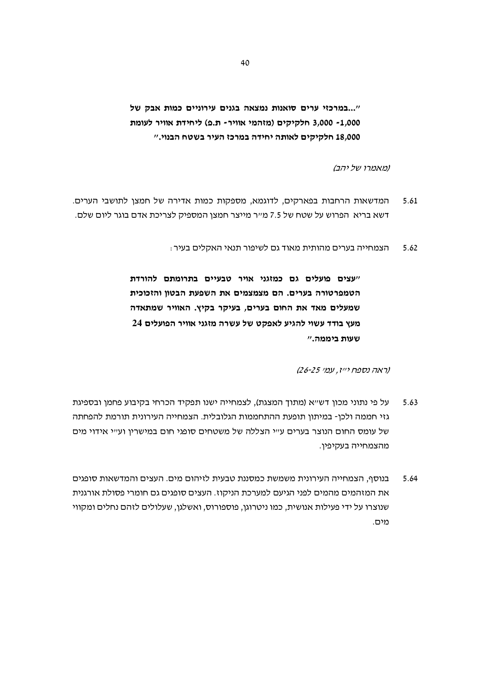"...במרכזי ערים סואנות נמצאה בגנים עירוניים כמות אבק של 1,000 - 3,000 חלקיקים (מזהמי אוויר- ת.פ) ליחידת אוויר לעומת 18,000 חלקיקים לאותה יחידה במרכז העיר בשטח הבנוי."

ומאמרו של יהב)

- המדשאות הרחבות בפארקים, לדוגמא, מספקות כמות אדירה של חמצן לתושבי הערים. 5.61 דשא בריא הפרוש על שטח של 7.5 מ״ר מייצר חמצן המספיק לצריכת אדם בוגר ליום שלם.
	- הצמחייה בערים מהותית מאוד גם לשיפור תנאי האקלים בעיר : 5.62

"עצים פועלים גם כמזגני אויר טבעיים בתרומתם להורדת הטמפרטורה בערים. הם מצמצמים את השפעת הבטון והזכוכית שמעלים מאד את החום בערים, בעיקר בקיץ. האוויר שמתאדה מעץ בודד עשוי להגיע לאפקט של עשרה מזגני אוויר הפועלים 24 שעות ביממה."

(ראה נספח יייז, עמי 25-25)

- על פי נתוני מכון דש״א (מתוך המצגת), לצמחייה ישנו תפקיד הכרחי בקיבוע פחמן ובספיגת 5.63 גזי חממה ולכן- במיתון תופעת ההתחממות הגלובלית. הצמחייה העירונית תורמת להפחתה של עומס החום הנוצר בערים ע״י הצללה של משטחים סופגי חום במישרין וע״י אידוי מים מהצמחייה בעקיפין.
- בנוסף, הצמחייה העירונית משמשת כמסננת טבעית לזיהום מים. העצים והמדשאות סופגים 5.64 את המזהמים מהמים לפני הגיעם למערכת הניקוז. העצים סופגים גם חומרי פסולת אורגנית שנוצרו על ידי פעילות אנושית, כמו ניטרוגן, פוספורוס, ואשלגן, שעלולים לזהם נחלים ומקווי מים.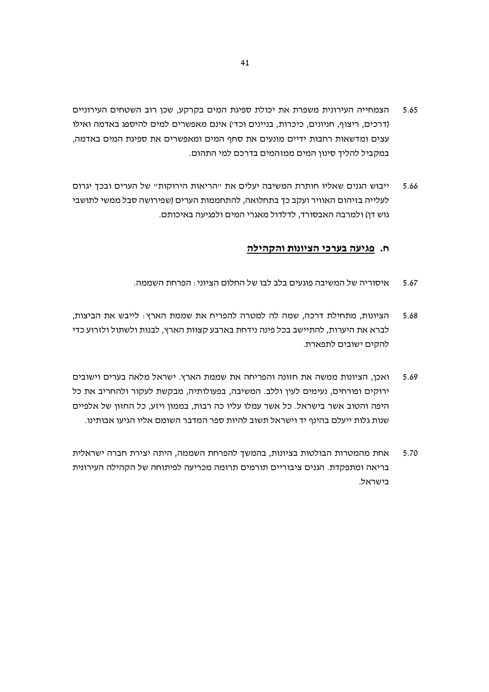- הצמחייה העירונית משפרת את יכולת ספיגת המים בקרקע, שכן רוב השטחים העירוניים 5.65 (דרכים, ריצוף, חניונים, כיכרות, בניינים וכדי) אינם מאפשרים למים להיספג באדמה ואילו עצים ומדשאות רחבות ידיים מונעים את סחף המים ומאפשרים את ספיגת המים באדמה, במקביל להליך סינון המים ממזהמים בדרכם למי התהום.
- ייבוש הגנים שאליו חותרת המשיבה יעלים את "הריאות הירוקות" של הערים ובכך יגרום 5.66 לעלייה בזיהום האוויר ועקב כך בתחלואה, להתחממות הערים (שפירושה סבל ממשי לתושבי גוש דו) ולמרבה האבסורד, לדלדול מאגרי המים ולפגיעה באיכותם.

#### ח. פגיעה בערכי הציונות והקהילה

- איסוריה של המשיבה פוגעים בלב לבו של החלום הציוני: הפרחת השממה. 5.67
- הציונות, מתחילת דרכה, שמה לה למטרה להפריח את שממת הארץ: לייבש את הביצות, 5.68 לברא את היערות. להתיישב בכל פינה נידחת בארבע קצוות הארץ. לבנות ולשתול ולזרוע כדי להקים ישובים לתפארת.
- ואכן, הציונות ממשה את חזונה והפריחה את שממת הארץ. ישראל מלאה בערים וישובים 5.69 ירוקים ופורחים, נעימים לעיו וללב. המשיבה, בפעולותיה, מבקשת לעקור ולהחריב את כל היפה והטוב אשר בישראל. כל אשר עמלו עליו כה רבות, בממון ויזע, כל החזון של אלפיים שנות גלות ייעלם בהינף יד וישראל תשוב להיות ספר המדבר השומם אליו הגיעו אבותינו.
- אחת מהמטרות הבולטות בציונות, בהמשך להפרחת השממה, היתה יצירת חברה ישראלית 5.70 בריאה ומתפקדת. הגנים ציבוריים תורמים תרומה מכריעה לפיתוחה של הקהילה העירונית בישראל.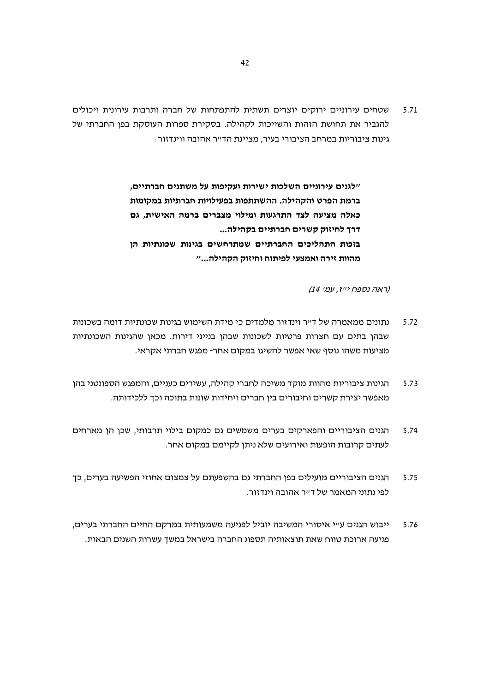שטחים עירוניים ירוקים יוצרים תשתית להתפתחות של חברה ותרבות עירונית ויכולים 5.71 להגביר את תחושת הזהות והשייכות לקהילה. בסקירת ספרות העוסקת בפן החברתי של גינות ציבוריות במרחב הציבורי בעיר, מציינת הד״ר אהובה ווינדזור :

> "לגנים עירוניים השלכות ישירות ועקיפות על משתנים חברתיים, ברמת הפרט והקהילה. ההשתתפות בפעילויות חברתיות במקומות כאלה מציעה לצד התרגעות ומילוי מצברים ברמה האישית, גם דרך לחיזוק קשרים חברתיים בקהילה... בזכות התהליכים החברתיים שמתרחשים בגינות שכונתיות הן מהוות זירה ואמצעי לפיתוח וחיזוק הקהילה..."

> > (ראה נספח יייז, עמי 14)

- נתונים ממאמרה של ד״ר וינדזור מלמדים כי מידת השימוש בגינות שכונתיות דומה בשכונות  $5.72$ שבהן בתים עם חצרות פרטיות לשכונות שבהן בנייני דירות. מכאן שהגינות השכונתיות מציעות משהו נוסף שאי אפשר להשיגו במקום אחר- מפגש חברתי אקראי.
- הגינות ציבוריות מהוות מוקד משיכה לחברי קהילה, עשירים כעניים, והמפגש הספונטני בהן 5.73 מאפשר יצירת קשרים וחיבורים בין חברים ויחידות שונות בתוכה וכך ללכידותה.
- הגנים הציבוריים והפארקים בערים משמשים גם כמקום בילוי תרבותי, שכן הן מארחים 5.74 לעתים קרובות הופעות ואירועים שלא ניתן לקיימם במקום אחר.
- הגנים הציבוריים מועילים בפן החברתי גם בהשפעתם על צמצום אחוזי הפשיעה בערים, כך 5.75 לפי נתוני המאמר של ד״ר אהובה וינדזור.
- ייבוש הגנים ע״י איסורי המשיבה יוביל לפגיעה משמעותית במרקם החיים החברתי בערים, 5.76 פגיעה ארוכת טווח שאת תוצאותיה תספוג החברה בישראל במשך עשרות השנים הבאות.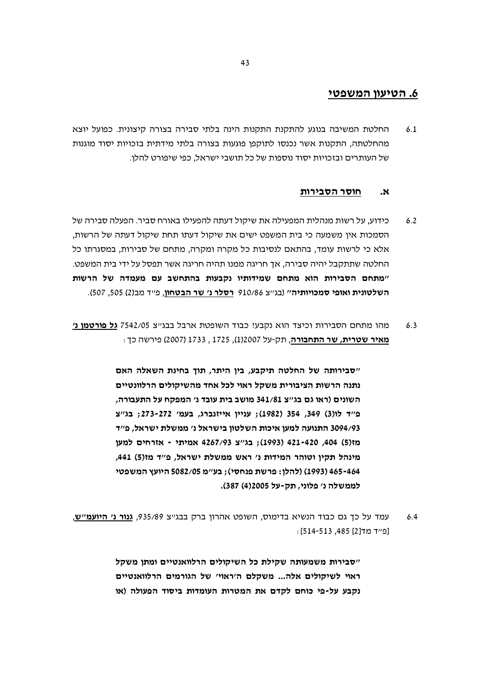# 6. הטיעון המשפטי

החלטת המשיבה בנוגע להתקנת התקנות הינה בלתי סבירה בצורה קיצונית. כפועל יוצא  $6<sub>1</sub>$ מהחלטתה, התקנות אשר נכנסו לתוקפן פוגעות בצורה בלתי מידתית בזכויות יסוד מוגנות של העותרים ובזכויות יסוד נוספות של כל תושבי ישראל, כפי שיפורט להלן.

#### חוסר הסבירות  $\boldsymbol{\mathcal{R}}$

- כידוע, על רשות מנהלית המפעילה את שיקול דעתה להפעילו באורח סביר. הפעלה סבירה של  $6.2$ הסמכות אין משמעה כי בית המשפט ישים את שיקול דעתו תחת שיקול דעתה של הרשות, אלא כי לרשות עומד, בהתאם לנסיבות כל מקרה ומקרה, מתחם של סבירות, במסגרתו כל החלטה שתתקבל יהיה סבירה, אך חריגה ממנו תהיה חריגה אשר תפסל על ידי בית המשפט. "מתחם הסבירות הוא מתחם שמידותיו נקבעות בהתחשב עם מעמדה של הרשות השלטונית ואופי סמכויותיה" (בג"צ 910/86 רסלר נ' שר הבטחון, פ"ד מב(2) 505, 507).
- מהו מתחם הסבירות וכיצד הוא נקבעי כבוד השופטת ארבל בבג׳׳צ 7542/05 **גל פורטמו נ׳**  $6.3$ מאיר שטרית, שר התחבורה, תק-על 12007(1), 1725 , 1733 (2007) פירשה כך :

"סבירותה של החלטה תיקבע, בין היתר, תוך בחינת השאלה האם נתנה הרשות הציבורית משקל ראוי לכל אחד מהשיקולים הרלוונטיים השונים (ראו גם בג׳׳צ 341/81 מושב בית עובד נ׳ המפקח על התעבורה, פ״ד לו(3) 354, 354 (1982); עניין אייזנברג, בעמ׳ 272-273; בג״צ 3094/93 התנועה למען איכות השלטון בישראל נ׳ ממשלת ישראל, פ״ד מז(5) 404, 421-420 (1993); בג"צ 4267/93 אמיתי - אזרחים למעו מינהל תקין וטוהר המידות נ' ראש ממשלת ישראל, פ"ד מז(5) 441, 465-464 (1993) (להלן: פרשת פנחסי); בע"מ 5082/05 היועץ המשפטי לממשלה נ׳ פלוני, תק-על 2005(4) 387).

עמד על כך גם כבוד הנשיא בדימוס, השופט אהרון ברק בבגייצ 935/89, גנ**ור נ׳ היועמ׳׳ש**,  $6.4$ נפייד מד[2] 485, 513-514):

> "סבירות משמעותה שקילת כל השיקולים הרלוואנטיים ומתו משקל ראוי לשיקולים אלה... משקלם ה'ראוי' של הגורמים הרלוואנטיים נקבע על-פי כוחם לקדם את המטרות העומדות ביסוד הפעולה (או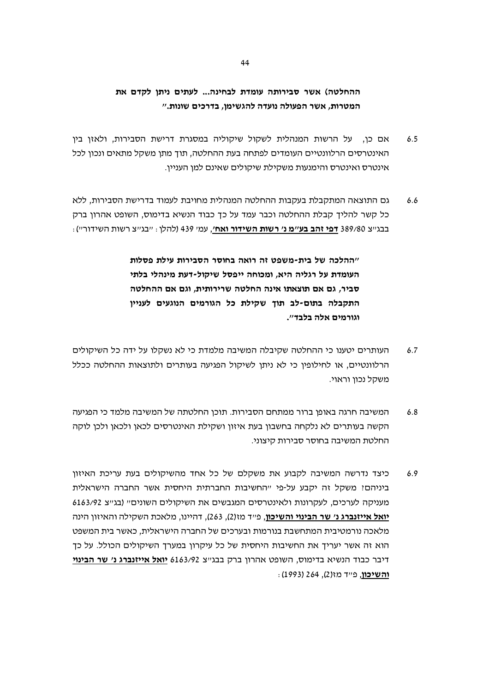# ההחלטה) אשר סבירותה עומדת לבחינה... לעתים ניתן לקדם את המטרות, אשר הפעולה נועדה להגשימו, בדרכים שונות."

- אם כן, על הרשות המנהלית לשקול שיקוליה במסגרת דרישת הסבירות, ולאזן בין  $6.5$ האינטרסים הרלוונטיים העומדים לפתחה בעת ההחלטה, תוך מתן משקל מתאים ונכון לכל אינטרס ואינטרס והימנעות משקילת שיקולים שאינם למן העניין.
- גם התוצאה המתקבלת בעקבות ההחלטה המנהלית מחויבת לעמוד בדרישת הסבירות, ללא  $6.6$ כל קשר להליד קבלת ההחלטה וכבר עמד על כד כבוד הנשיא בדימוס, השופט אהרון ברק בבג׳יצ 389/80 <u>דפ**י זהב בע׳׳מ נ׳ רשות השידור ואח׳**,</u> עמי 439 (להלן : ״בג׳יצ רשות השידור״) :

"ההלכה של בית-משפט זה רואה בחוסר הסבירות עילת פסלות העומדת על רגליה היא, ומכוחה ייפסל שיקול-דעת מינהלי בלתי סביר, גם אם תוצאתו אינה החלטה שרירותית, וגם אם ההחלטה התקבלה בתום-לב תוך שקילת כל הגורמים הנוגעים לעניין וגורמים אלה בלבד".

- העותרים יטענו כי ההחלטה שקיבלה המשיבה מלמדת כי לא נשקלו על ידה כל השיקולים  $6.7$ הרלוונטיים, או לחילופיו כי לא ניתו לשיקול הפגיעה בעותרים ולתוצאות ההחלטה ככלל משקל נכון וראוי.
- המשיבה חרגה באופו ברור ממתחם הסבירות. תוכו החלטתה של המשיבה מלמד כי הפגיעה  $6.8$ הקשה בעותרים לא נלקחה בחשבון בעת איזון ושקילת האינטרסים לכאן ולכאן ולכן לוקה החלטת המשיבה בחוסר סבירות קיצוני.
- כיצד נדרשה המשיבה לקבוע את משקלם של כל אחד מהשיקולים בעת עריכת האיזון  $6.9$ ביניהם? משקל זה יקבע על-פי "החשיבות החברתית היחסית אשר החברה הישראלית מעניקה לערכים, לעקרונות ולאינטרסים המגבשים את השיקולים השונים״ (בג״צ 6163/92 **יואל אייזנברג נ׳ שר הבינוי והשיכון**, פ״ד מז(2), 263), דהיינו, מלאכת השקילה והאיזון הינה מלאכה נורמטיבית המתחשבת בנורמות ובערכים של החברה הישראלית, כאשר בית המשפט הוא זה אשר יעריד את החשיבות היחסית של כל עיקרון במערד השיקולים הכולל. על כד דיבר כבוד הנשיא בדימוס, השופט אהרון ברק בבג"צ 6163/92 יואל אייזנברג נ' שר הבינוי ו**השיכון**, פייד מז(2), 264 (1993):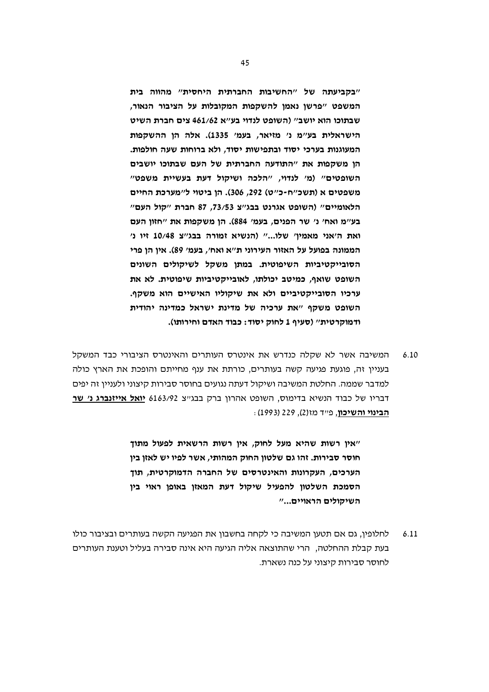"בקביעתה של "החשיבות החברתית היחסית" מהווה בית המשפט "פרשן נאמן להשקפות המקובלות על הציבור הנאור, שבתוכו הוא יושב" (השופט לנדוי בע"א 461/62 צים חברת השיט הישראלית בע"מ נ' מזיאר, בעמ' 1335). אלה הן ההשקפות המעוגנות בערכי יסוד ובתפישות יסוד. ולא ברוחות שעה חולפות. הן משקפות את "התודעה החברתית של העם שבתוכו יושבים השופטים" (מ' לנדוי, "הלכה ושיקול דעת בעשיית משפט" משפטים א (תשכ"ח-כ"ט) 292, 306). הן ביטוי ל"מערכת החיים הלאומיים" (השופט אגרנט בבג"צ 73/53, 87 חברת "קול העם" בע"מ ואח' נ' שר הפנים, בעמ' 884). הן משקפות את "חזון העם ואת ה'אני מאמין' שלו..." (הנשיא זמורה בבג"צ 10/48 זיו נ' הממונה בפועל על האזור העירוני ת"א ואח', בעמ' 89). אין הן פרי הסובייקטיביות השיפוטית. במתן משקל לשיקולים השונים השופט שואף, כמיטב יכולתו, לאובייקטיביות שיפוטית. לא את ערכיו הסובייקטיביים ולא את שיקוליו האישיים הוא משקף. השופט משקף "את ערכיה של מדינת ישראל כמדינה יהודית ודמוקרטית" (סעיף 1 לחוק יסוד: כבוד האדם וחירותו).

המשיבה אשר לא שקלה כנדרש את אינטרס העותרים והאינטרס הציבורי כבד המשקל  $6.10$ בעניין זה, פוגעת פגיעה קשה בעותרים, כורתת את ענף מחייתם והופכת את הארץ כולה למדבר שממה. החלטת המשיבה ושיקול דעתה נגועים בחוסר סבירות קיצוני ולעניין זה יפים דבריו של כבוד הנשיא בדימוס, השופט אהרון ברק בבגייצ 6163/92 יואל אייזנברג נ׳ שר הבינוי והשיכון, פייד מז(2), 229 (1993):

> "אין רשות שהיא מעל לחוק, אין רשות הרשאית לפעול מתוך חוסר סבירות. זהו גם שלטון החוק המהותי, אשר לפיו יש לאזן בין הערכים, העקרונות והאינטרסים של החברה הדמוקרטית, תוך הסמכת השלטון להפעיל שיקול דעת המאזן באופן ראוי בין השיקולים הראויים..."

 $6.11$ לחלופין, גם אם תטען המשיבה כי לקחה בחשבון את הפגיעה הקשה בעותרים ובציבור כולו בעת קבלת ההחלטה. הרי שהתוצאה אליה הגיעה היא אינה סבירה בעליל וטענת העותרים לחוסר סבירות קיצוני על כנה נשארת.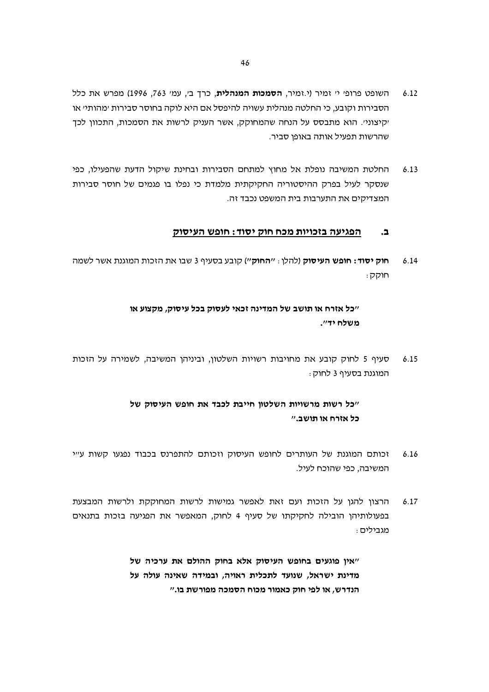- השופט פרופ׳ י׳ זמיר (י.זמיר, **הסמכות המנהלית**, כרך ב׳, עמ׳ 763, 1996) מפרש את כלל  $6.12$ הסבירות וקובע, כי החלטה מנהלית עשויה להיפסל אם היא לוקה בחוסר סבירות ׳מהותי׳ או יקיצוניי. הוא מתבסס על הנחה שהמחוקק, אשר העניק לרשות את הסמכות, התכוון לכד שהרשות תפעיל אותה באופו סביר.
- החלטת המשיבה נופלת אל מחוץ למתחם הסבירות ובחינת שיקול הדעת שהפעילו, כפי  $6.13$ שנסקר לעיל בפרק ההיסטוריה החקיקתית מלמדת כי נפלו בו פגמים של חוסר סבירות המצדיקים את התערבות בית המשפט נכבד זה.

#### הפגיעה בזכויות מכח חוק יסוד: חופש העיסוק  $\mathbf{r}$

**חוק יסוד: חופש העיסוק** (להלן : ״**החוק**״) קובע בסעיף 3 שבו את הזכות המוגנת אשר לשמה  $6.14$ ּחוקק

# ייכל אזרח או תושב של המדינה זכאי לעסוק בכל עיסוק, מקצוע או משלח יד".

סעיף 5 לחוק קובע את מחויבות רשויות השלטון, וביניהן המשיבה, לשמירה על הזכות  $6.15$ המוגנת בסעיף 3 לחוק :

# "כל רשות מרשויות השלטון חייבת לכבד את חופש העיסוק של כל אזרח או תושב."

- זכותם המוגנת של העותרים לחופש העיסוק וזכותם להתפרנס בכבוד נפגעו קשות ע״י  $6.16$ המשיבה, כפי שהוכח לעיל.
- הרצון להגן על הזכות ועם זאת לאפשר גמישות לרשות המחוקקת ולרשות המבצעת  $6.17$ בפעולותיהן הובילה לחקיקתו של סעיף 4 לחוק, המאפשר את הפגיעה בזכות בתנאים מגבילים :

"אין פוגעים בחופש העיסוק אלא בחוק ההולם את ערכיה של מדינת ישראל, שנועד לתכלית ראויה, ובמידה שאינה עולה על הנדרש, או לפי חוק כאמור מכוח הסמכה מפורשת בו."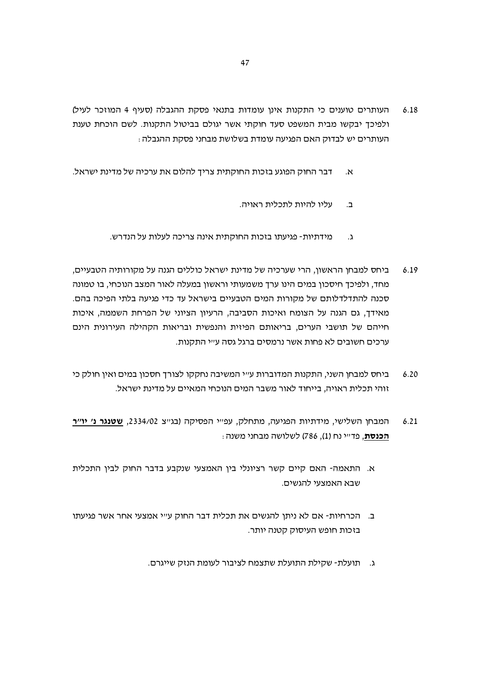- העותרים טוענים כי התקנות אינן עומדות בתנאי פסקת ההגבלה (סעיף 4 המוזכר לעיל)  $6.18$ ולפיכך יבקשו מבית המשפט סעד חוקתי אשר יגולם בביטול התקנות. לשם הוכחת טענת העותרים יש לבדוק האם הפגיעה עומדת בשלושת מבחני פסקת ההגבלה :
- דבר החוק הפוגע בזכות החוקתית צריך להלום את ערכיה של מדינת ישראל.  $\alpha$ 
	- עליו להיות לתכלית ראויה.  $\Delta$
	- מידתיות- פגיעתו בזכות החוקתית אינה צריכה לעלות על הנדרש.  $\cdot$
- ביחס למבחו הראשוו. הרי שערכיה של מדינת ישראל כוללים הגנה על מקורותיה הטבעיים.  $6.19$ מחד, ולפיכד חיסכון במים הינו ערד משמעותי וראשון במעלה לאור המצב הנוכחי, בו טמונה סכנה להתדלדלותם של מקורות המים הטבעיים בישראל עד כדי פגיעה בלתי הפיכה בהם. מאידך, גם הגנה על הצומח ואיכות הסביבה, הרעיון הציוני של הפרחת השממה, איכות חייהם של תושבי הערים, בריאותם הפיזית והנפשית ובריאות הקהילה העירונית הינם ערכים חשובים לא פחות אשר נרמסים ברגל גסה ע״י התקנות.
- ביחס למבחן השני, התקנות המדוברות ע״י המשיבה נחקקו לצורד חסכון במים ואין חולק כי  $6.20$ זוהי תכלית ראויה, בייחוד לאור משבר המים הנוכחי המאיים על מדינת ישראל.
- המבחן השלישי, מידתיות הפגיעה, מתחלק, עפייי הפסיקה (בגייצ 2334/02, <u>שטנגר נ׳ יו״ר</u>  $6.21$ . **הכנסת**, פדייי נח (1), 786) לשלושה מבחני משנה
- א. התאמה- האם קיים קשר רציונלי בין האמצעי שנקבע בדבר החוק לבין התכלית שבא האמצעי להגשים.
- ב. הכרחיות- אם לא ניתן להגשים את תכלית דבר החוק ע״י אמצעי אחר אשר פגיעתו בזכות חופש העיסוק קטנה יותר.
	- ג. תועלת- שקילת התועלת שתצמח לציבור לעומת הנזק שייגרם.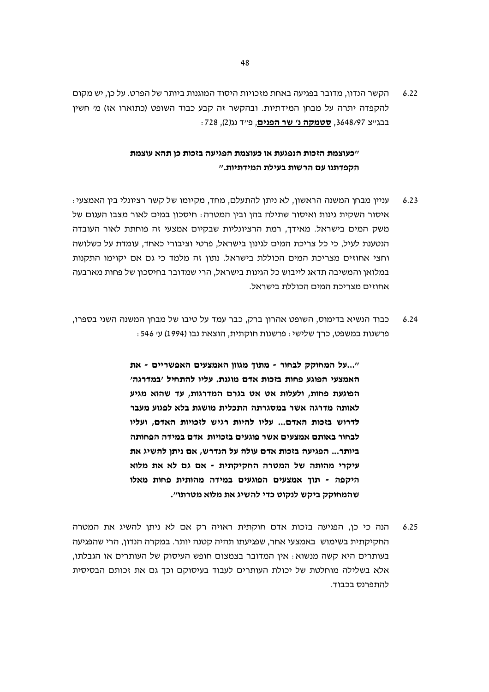הקשר הנדון, מדובר בפגיעה באחת מזכויות היסוד המוגנות ביותר של הפרט. על כן, יש מקום  $6.22$ להקפדה יתרה על מבחן המידתיות. ובהקשר זה קבע כבוד השופט (כתוארו אז) מי חשין בבגייצ 3648/97. **סטמקה נ' שר הפנים**, פייד נג(2), 728:

# ״כעוצמת הזכות הנפגעת או כעוצמת הפגיעה בזכות כו תהא עוצמת הקפדתנו עם הרשות בעילת המידתיות."

- עניין מבחן המשנה הראשון, לא ניתן להתעלם, מחד, מקיומו של קשר רציונלי בין האמצעי  $6.23$ איסור השקית גינות ואיסור שתילה בהו וביו המטרה: חיסכון במים לאור מצבו העגום של משק המים בישראל. מאידך, רמת הרציונליות שבקיום אמצעי זה פוחתת לאור העובדה הנטענת לעיל, כי כל צריכת המים לגינון בישראל, פרטי וציבורי כאחד, עומדת על כשלושה וחצי אחוזים מצריכת המים הכוללת בישראל. נתוו זה מלמד כי גם אם יקוימו התקנות במלואן והמשיבה תדאג לייבוש כל הגינות בישראל, הרי שמדובר בחיסכון של פחות מארבעה אחוזים מצריכת המים הכוללת רישראל.
- כבוד הנשיא בדימוס, השופט אהרון ברק, כבר עמד על טיבו של מבחן המשנה השני בספרו,  $6.24$ פרשנות במשפט, כרך שלישי: פרשנות חוקתית, הוצאת נבו (1994) ע׳ 546 :

"...על המחוקק לבחור - מתוד מגווו האמצעים האפשריים - את האמצעי הפוגע פחות בזכות אדם מוגנת. עליו להתחיל 'במדרגה' הפוגעת פחות, ולעלות אט אט בגרם המדרגות, עד שהוא מגיע לאותה מדרגה אשר במסגרתה התכלית מושגת בלא לפגוע מעבר לדרוש בזכות האדם... עליו להיות רגיש לזכויות האדם, ועליו לבחור באותם אמצעים אשר פוגעים בזכויות. אדם במידה הפחותה ביותר... הפגיעה בזכות אדם עולה על הנדרש, אם ניתן להשיג את עיקרי מהותה של המטרה החקיקתית - אם גם לא את מלוא היקפה - תוך אמצעים הפוגעים במידה מהותית פחות מאלו שהמחוקק ביקש לנקוט כדי להשיג את מלוא מטרתו".

הנה כי כו, הפגיעה בזכות אדם חוקתית ראויה רק אם לא ניתו להשיג את המטרה  $6.25$ החקיקתית בשימוש באמצעי אחר, שפגיעתו תהיה קטנה יותר. במקרה הנדון, הרי שהפגיעה בעותרים היא קשה מנשוא : אין המדובר בצמצום חופש העיסוק של העותרים או הגבלתו, אלא בשלילה מוחלטת של יכולת העותרים לעבוד בעיסוקם וכך גם את זכותם הבסיסית להתפרנס בכבוד.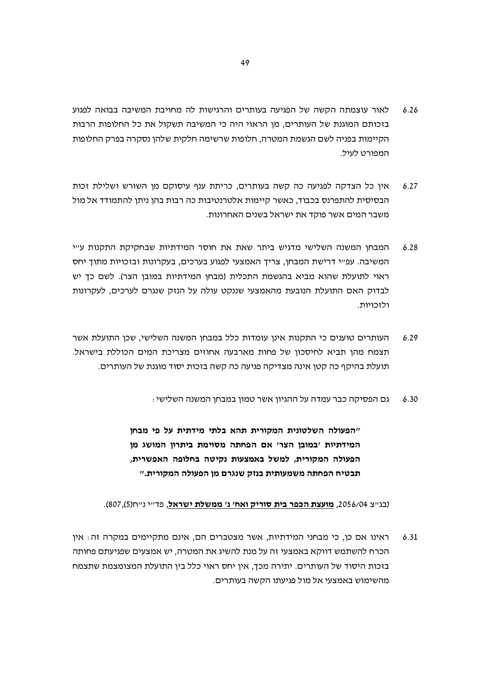- לאור עוצמתה הקשה של הפגיעה בעותרים והרגישות לה מחויבת המשיבה בבואה לפגוע  $6.26$ בזכותם המוגנת של העותרים, מן הראוי היה כי המשיבה תשקול את כל החלופות הרבות הקיימות בפניה לשם הגשמת המטרה, חלופות שרשימה חלקית שלהן נסקרה בפרק החלופות המפורט לעיל.
- איו כל הצדקה לפגיעה כה קשה בעותרים. כריתת ענף עיסוקם מו השורש ושלילת זכות  $6.27$ הבסיסית להתפרנס בכבוד, כאשר קיימות אלטרנטיבות כה רבות בהן ניתן להתמודד אל מול משבר המים אשר פוקד את ישראל בשנים האחרונות.
- המבחן המשנה השלישי מדגיש ביתר שאת את חוסר המידתיות שבחקיקת התקנות עייי  $6.28$ המשיבה. עפ״י דרישת המבחן, צריך האמצעי לפגוע בערכים, בעקרונות ובזכויות מתוך יחס ראוי לתועלת שהוא מביא בהגשמת התכלית (מבחן המידתיות במובן הצר). לשם כד יש לבדוק האם התועלת הנובעת מהאמצעי שננקט עולה על הנזק שנגרם לערכים, לעקרונות ולזכויות.
- העותרים טוענים כי התקנות אינן עומדות כלל במבחן המשנה השלישי, שכן התועלת אשר  $6.29$ תצמח מהן תביא לחיסכון של פחות מארבעה אחוזים מצריכת המים הכוללת בישראל. תועלת בהיקף כה קטו אינה מצדיקה פגיעה כה קשה בזכות יסוד מוגנת של העותרים.
	- גם הפסיקה כבר עמדה על ההגיון אשר טמון במבחן המשנה השלישי :  $6.30$

"הפעולה השלטונית המקורית תהא בלתי מידתית על פי מבחן המידתיות 'במובן הצר' אם הפחתה מסוימת ביתרון המושג מן הפעולה המקורית, למשל באמצעות נקיטה בחלופה האפשרית, תבטיח הפחתה משמעותית בנזק שנגרם מן הפעולה המקורית."

#### (בגייצ 2056/04, מועצת הכפר בית סוריק ואח׳ נ׳ ממשלת ישראל, פדייי נייח(5),807).

ראינו אם כן, כי מבחני המידתיות, אשר מצטברים הם, אינם מתקיימים במקרה זה: אין  $6.31$ הכרח להשתמש דווקא באמצעי זה על מנת להשיג את המטרה, יש אמצעים שפגיעתם פחותה בזכות היסוד של העותרים. יתירה מכך, אין יחס ראוי כלל בין התועלת המצומצמת שתצמח מהשימוש באמצעי אל מול פגיעתו הקשה בעותרים.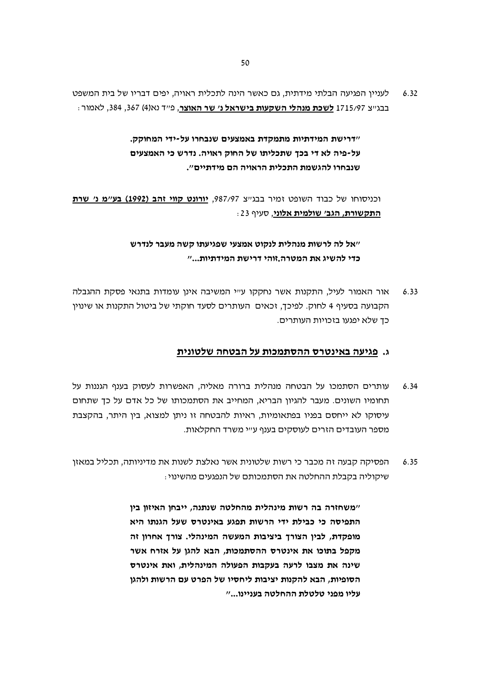לעניין הפגיעה הבלתי מידתית, גם כאשר הינה לתכלית ראויה, יפים דבריו של בית המשפט  $6.32$ בבגייצ 1715/97 **לשכת מנהלי השקעות בישראל נ׳ שר האוצר**, פייד נא(4) 367, 384, לאמור <del>.</del>

> "דרישת המידתיות מתמקדת באמצעים שנבחרו על-ידי המחוקק. על-פיה לא די בכך שתכליתו של החוק ראויה. נדרש כי האמצעים שנבחרו להגשמת התכלית הראויה הם מידתיים".

וכניסוחו של כבוד השופט זמיר בבגיש 987/97, יורונט קווי זהב (1992) בע״מ נ׳ שרת התקשורת, הגב׳ שולמית אלוני, סעיף 23:

> ״אל לה לרשות מנהלית לנקוט אמצעי שפגיעתו קשה מעבר לנדרש כדי להשיג את המטרה.זוהי דרישת המידתיות..."

אור האמור לעיל, התקנות אשר נחקקו ע״י המשיבה אינן עומדות בתנאי פסקת ההגבלה  $6.33$ הקבועה בסעיף 4 לחוק. לפיכך, זכאים העותרים לסעד חוקתי של ביטול התקנות או שינוין כד שלא יפגעו בזכויות העותרים.

#### ג. פגיעה באינטרס ההסתמכות על הבטחה שלטונית

- עותרים הסתמכו על הבטחה מנהלית ברורה מאליה, האפשרות לעסוק בענף הגננות על  $6.34$ תחומיו השונים. מעבר להגיון הבריא, המחייב את הסתמכותו של כל אדם על כד שתחום עיסוקו לא ייחסם בפניו בפתאומיות, ראיות להבטחה זו ניתן למצוא, בין היתר, בהקצבת מספר העובדים הזרים לעוסקים בענף ע״י משרד החקלאות.
- הפסיקה קבעה זה מכבר כי רשות שלטונית אשר נאלצת לשנות את מדיניותה, תכליל במאזן  $6.35$ שיקוליה בקבלת ההחלטה את הסתמכותם של הנפגעים מהשינוי:

"משחזרה בה רשות מינהלית מהחלטה שנתנה, ייבחן האיזון בין התפיסה כי כבילת ידי הרשות תפגע באינטרס שעל הגנתו היא מופקדת, לבין הצורך ביציבות המעשה המינהלי. צורך אחרון זה מקפל בתוכו את אינטרס ההסתמכות, הבא להגן על אזרח אשר שינה את מצבו לרעה בעקבות הפעולה המינהלית, ואת אינטרס הסופיות. הבא להקנות יציבות ליחסיו של הפרט עם הרשות ולהגו עליו מפני טלטלת ההחלטה בעניינו..."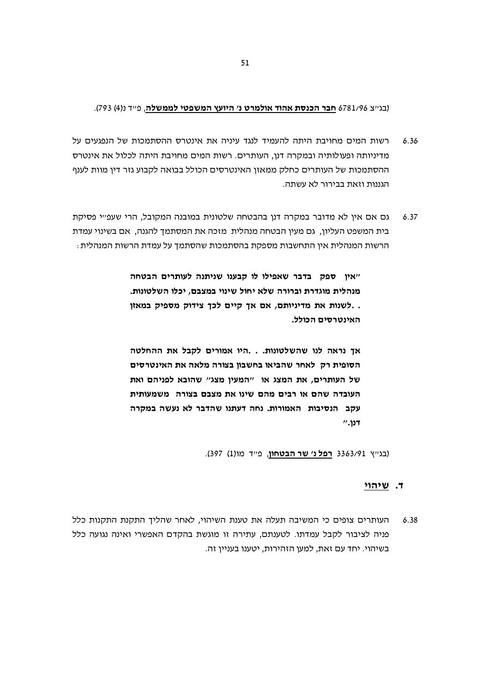#### (בגייצ 6781/96 חבר הכנסת אהוד אולמרט נ' היועץ המשפטי לממשלה, פייד נ(4) 793).

- רשות המים מחויבת היתה להעמיד לנגד עיניה את אינטרס ההסתמכות של הנפגעים על  $6.36$ מדיניותה ופעולותיה ובמקרה דנן, העותרים. רשות המים מחויבת היתה לכלול את אינטרס ההסתמכות של העותרים כחלק ממאזן האינטרסים הכולל בבואה לקבוע גזר דין מוות לענף הגננות וזאת בבירור לא עשתה.
- גם אם אין לא מדובר במקרה דנן בהבטחה שלטונית במובנה המקובל, הרי שעפ״י פסיקת  $6.37$ בית המשפט העליון, גם מעין הבטחה מנהלית. מזכה את המסתמך להגנה, אם בשינוי עמדת הרשות המנהלית אין התחשבות מספקת בהסתמכות שהסתמך על עמדת הרשות המנהלית :

"אין ספק בדבר שאפילו לו קבענו שניתנה לעותרים הבטחה מנהלית מוגדרת וברורה שלא יחול שינוי במצבם, יכלו השלטונות. . לשנות את מדיניותם, אם אך קיים לכך צידוק מספיק במאזן. האינטרסים הכולל.

אך נראה לנו שהשלטונות. . .היו אמורים לקבל את ההחלטה הסופית רק לאחר שהביאו בחשבוו בצורה מלאה את האינטרסים של העותרים, את המצג או "המעין מצג" שהובא לפניהם ואת העובדה שהם או רבים מהם שינו את מצבם בצורה, משמעותית עקב הנסיבות האמורות. נחה דעתנו שהדבר לא נעשה במקרה  $"$ לנן.

(בגייץ 3363/91 רפל נ' שר הבטחון, פייד מו(1) 397).

#### ד. שיהוי

העותרים צופים כי המשיבה תעלה את טענת השיהוי, לאחר שהליך התקנת התקנות כלל  $6.38$ פניה לציבור לקבל עמדתו. לטענתם, עתירה זו מוגשת בהקדם האפשרי ואינה נגועה כלל בשיהוי. יחד עם זאת, למען הזהירות, יטענו בעניין זה.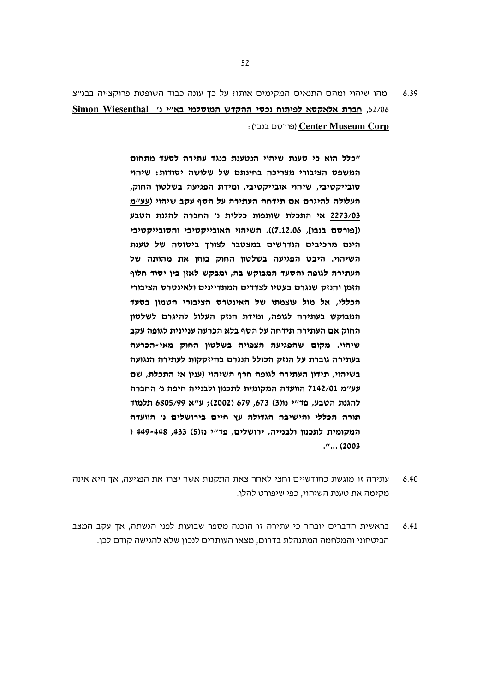מהו שיהוי ומהם התנאים המקימים אותו? על כך עונה כבוד השופטת פרוקצייה בבגייצ 6.39 52/06, חברת אלאקסא לפיתוח נכסי ההקדש המוסלמי בא"י נ' Simon Wiesenthal : (פורסם בנבו) Center Museum Corp

> "כלל הוא כי טענת שיהוי הנטענת כנגד עתירה לסעד מתחום המשפט הציבורי מצריכה בחינתם של שלושה יסודות: שיהוי סובייקטיבי, שיהוי אובייקטיבי, ומידת הפגיעה בשלטון החוק, העלולה להיגרם אם תידחה העתירה על הסף עקב שיהוי (עע"מ 2273/03 אי התכלת שותפות כללית נ' החברה להגנת הטבע ([פורסם בנבו], 7.12.06)). השיהוי האובייקטיבי והסובייקטיבי הינם מרכיבים הנדרשים במצטבר לצורך ביסוסה של טענת השיהוי. היבט הפגיעה בשלטון החוק בוחן את מהותה של העתירה לגופה והסעד המבוקש בה, ומבקש לאזן בין יסוד חלוף הזמן והנזק שנגרם בעטיו לצדדים המתדיינים ולאינטרס הציבורי הכללי, אל מול עוצמתו של האינטרס הציבורי הטמון בסעד המבוקש בעתירה לגופה, ומידת הנזק העלול להיגרם לשלטון החוק אם העתירה תידחה על הסף בלא הכרעה עניינית לגופה עקב שיהוי. מקום שהפגיעה הצפויה בשלטון החוק מאי-הכרעה בעתירה גוברת על הנזק הכולל הנגרם בהיזקקות לעתירה הנגועה בשיהוי, תידון העתירה לגופה חרף השיהוי (ענין אי התכלת, שם עע"מ 7142/01 הוועדה המקומית לתכנון ולבנייה חיפה נ' החברה להגנת הטבע, פד"י נו(3) 673, 679 (2002); ע"א 6805/99 תלמוד תורה הכללי והישיבה הגדולה עץ חיים בירושלים נ׳ הוועדה המקומית לתכנוו ולבנייה, ירושלים, פד"י נז(5) 433, 449-448 (  $\cdots$  (2003)

- $6.40$ עתירה זו מוגשת כחודשיים וחצי לאחר צאת התקנות אשר יצרו את הפגיעה, אך היא אינה מקימה את טענת השיהוי. כפי שיפורט להלו.
- בראשית הדברים יובהר כי עתירה זו הוכנה מספר שבועות לפני הגשתה, אך עקב המצב  $641$ הביטחוני והמלחמה המתנהלת בדרום, מצאו העותרים לנכון שלא להגישה קודם לכן.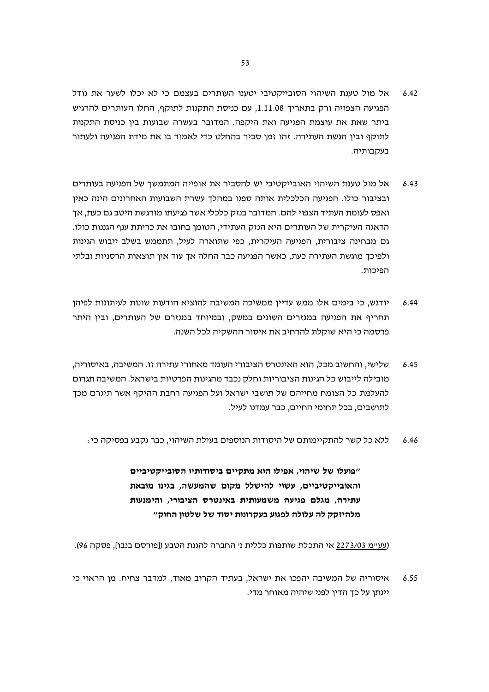- אל מול טענת השיהוי הסובייקטיבי יטענו העותרים בעצמם כי לא יכלו לשער את גודל  $6.42$ הפגיעה הצפויה ורק בתאריך 1.11.08, עם כניסת התקנות לתוקף, החלו העותרים להרגיש ביתר שאת את עוצמת הפגיעה ואת היקפה. המדובר בעשרה שבועות בין כניסת התקנות לתוקף ובין הגשת העתירה. זהו זמן סביר בהחלט כדי לאמוד בו את מידת הפגיעה ולעתור בעקבותיה.
- אל מול טענת השיהוי האובייקטיבי יש להסביר את אופייה המתמשך של הפגיעה בעותרים  $6.43$ ובציבור כולו. הפגיעה הכלכלית אותה ספגו במהלך עשרת השבועות האחרונים הינה כאין ואפס לעומת העתיד הצפוי להם. המדובר בנזק כלכלי אשר פגיעתו מורגשת היטב גם כעת, אד הדאגה העיקרית של העותרים היא הנזק העתידי, הטומן בחובו את כריתת ענף הגננות כולו. גם מבחינה ציבורית, הפגיעה העיקרית, כפי שתוארה לעיל, תתממש בשלב ייבוש הגינות ולפיכך מוגשת העתירה כעת, כאשר הפגיעה כבר החלה אך עוד אין תוצאות הרסניות ובלתי הפיכות.
- יודגש. כי בימים אלו ממש עדייו ממשיכה המשיבה להוציא הודעות שונות לעיתונות לפיהו  $644$ תחריף את הפגיעה במגזרים השונים במשק, ובמיוחד במגזרם של העותרים, ובין היתר פרסמה כי היא שוקלת להרחיב את איסור ההשקיה לכל השנה.
- שלישי, והחשוב מכל, הוא האינטרס הציבורי העומד מאחורי עתירה זו. המשיבה, באיסוריה, 6.45 מובילה לייבוש כל הגינות הציבוריות וחלק נכבד מהגינות הפרטיות בישראל. המשיבה תגרום להעלמת כל הצומח מחייהם של תושבי ישראל ועל הפגיעה רחבת ההיקף אשר תיגרם מכד לתושבים, בכל תחומי החיים, כבר עמדנו לעיל.
	- ללא כל קשר להתקיימותם של היסודות הנוספים בעילת השיהוי, כבר נקבע בפסיקה כי : 6.46

"פועלו של שיהוי, אפילו הוא מתקיים ביסודותיו הסובייקטיביים והאובייקטיביים, עשוי להישלל מקום שהמעשה, בגינו מובאת עתירה, מגלם פגיעה משמעותית באינטרס הציבורי, והימנעות מלהיזקק לה עלולה לפגוע בעקרונות יסוד של שלטון החוק"

(עע״מ 2273/03 אי התכלת שותפות כללית נ׳ החברה להגנת הטבע ([פורסם בנבו], פסקה 96).

איסוריה של המשיבה יהפכו את ישראל, בעתיד הקרוב מאוד, למדבר צחיח. מן הראוי כי 6.55 יינתו על כד הדיו לפני שיהיה מאוחר מדי.